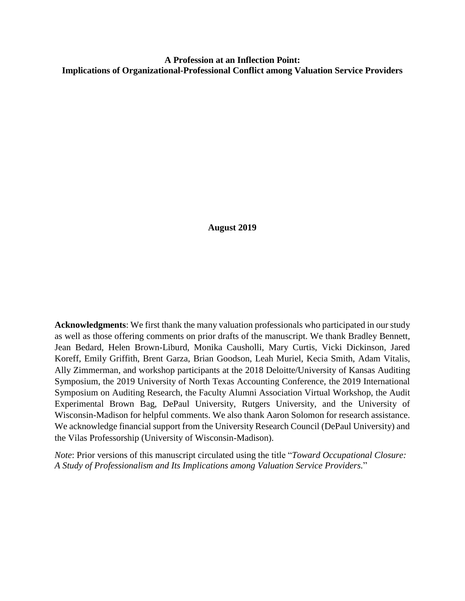**A Profession at an Inflection Point: Implications of Organizational-Professional Conflict among Valuation Service Providers**

**August 2019**

**Acknowledgments**: We first thank the many valuation professionals who participated in our study as well as those offering comments on prior drafts of the manuscript. We thank Bradley Bennett, Jean Bedard, Helen Brown-Liburd, Monika Causholli, Mary Curtis, Vicki Dickinson, Jared Koreff, Emily Griffith, Brent Garza, Brian Goodson, Leah Muriel, Kecia Smith, Adam Vitalis, Ally Zimmerman, and workshop participants at the 2018 Deloitte/University of Kansas Auditing Symposium, the 2019 University of North Texas Accounting Conference, the 2019 International Symposium on Auditing Research, the Faculty Alumni Association Virtual Workshop, the Audit Experimental Brown Bag, DePaul University, Rutgers University, and the University of Wisconsin-Madison for helpful comments. We also thank Aaron Solomon for research assistance. We acknowledge financial support from the University Research Council (DePaul University) and the Vilas Professorship (University of Wisconsin-Madison).

*Note*: Prior versions of this manuscript circulated using the title "*Toward Occupational Closure: A Study of Professionalism and Its Implications among Valuation Service Providers.*"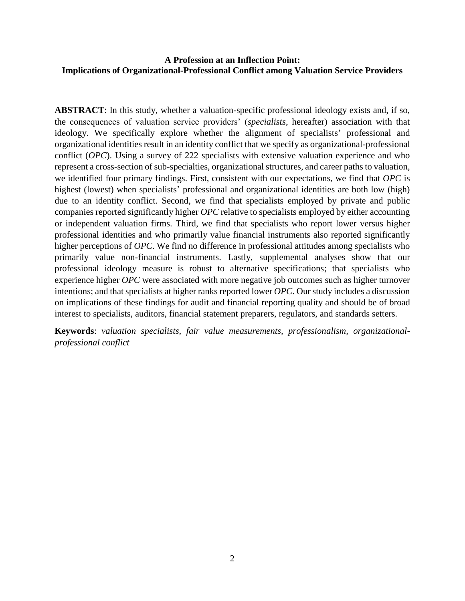# **A Profession at an Inflection Point: Implications of Organizational-Professional Conflict among Valuation Service Providers**

**ABSTRACT**: In this study, whether a valuation-specific professional ideology exists and, if so, the consequences of valuation service providers' (*specialists*, hereafter) association with that ideology. We specifically explore whether the alignment of specialists' professional and organizational identities result in an identity conflict that we specify as organizational-professional conflict (*OPC*). Using a survey of 222 specialists with extensive valuation experience and who represent a cross-section of sub-specialties, organizational structures, and career paths to valuation, we identified four primary findings. First, consistent with our expectations, we find that *OPC* is highest (lowest) when specialists' professional and organizational identities are both low (high) due to an identity conflict. Second, we find that specialists employed by private and public companies reported significantly higher *OPC* relative to specialists employed by either accounting or independent valuation firms. Third, we find that specialists who report lower versus higher professional identities and who primarily value financial instruments also reported significantly higher perceptions of *OPC*. We find no difference in professional attitudes among specialists who primarily value non-financial instruments. Lastly, supplemental analyses show that our professional ideology measure is robust to alternative specifications; that specialists who experience higher *OPC* were associated with more negative job outcomes such as higher turnover intentions; and that specialists at higher ranks reported lower *OPC*. Our study includes a discussion on implications of these findings for audit and financial reporting quality and should be of broad interest to specialists, auditors, financial statement preparers, regulators, and standards setters.

**Keywords**: *valuation specialists, fair value measurements, professionalism, organizationalprofessional conflict*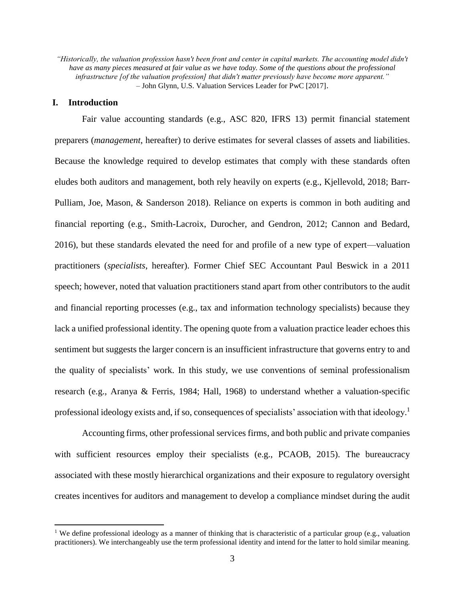*"Historically, the valuation profession hasn't been front and center in capital markets. The accounting model didn't have as many pieces measured at fair value as we have today. Some of the questions about the professional infrastructure [of the valuation profession] that didn't matter previously have become more apparent." –* John Glynn, U.S. Valuation Services Leader for PwC [2017].

### **I. Introduction**

 $\overline{a}$ 

Fair value accounting standards (e.g., ASC 820, IFRS 13) permit financial statement preparers (*management*, hereafter) to derive estimates for several classes of assets and liabilities. Because the knowledge required to develop estimates that comply with these standards often eludes both auditors and management, both rely heavily on experts (e.g., Kjellevold, 2018; Barr-Pulliam, Joe, Mason, & Sanderson 2018). Reliance on experts is common in both auditing and financial reporting (e.g., Smith-Lacroix, Durocher, and Gendron, 2012; Cannon and Bedard, 2016), but these standards elevated the need for and profile of a new type of expert—valuation practitioners (*specialists*, hereafter). Former Chief SEC Accountant Paul Beswick in a 2011 speech; however, noted that valuation practitioners stand apart from other contributors to the audit and financial reporting processes (e.g., tax and information technology specialists) because they lack a unified professional identity. The opening quote from a valuation practice leader echoes this sentiment but suggests the larger concern is an insufficient infrastructure that governs entry to and the quality of specialists' work. In this study, we use conventions of seminal professionalism research (e.g., Aranya & Ferris, 1984; Hall, 1968) to understand whether a valuation-specific professional ideology exists and, if so, consequences of specialists' association with that ideology.<sup>1</sup>

Accounting firms, other professional services firms, and both public and private companies with sufficient resources employ their specialists (e.g., PCAOB, 2015). The bureaucracy associated with these mostly hierarchical organizations and their exposure to regulatory oversight creates incentives for auditors and management to develop a compliance mindset during the audit

<sup>&</sup>lt;sup>1</sup> We define professional ideology as a manner of thinking that is characteristic of a particular group (e.g., valuation practitioners). We interchangeably use the term professional identity and intend for the latter to hold similar meaning.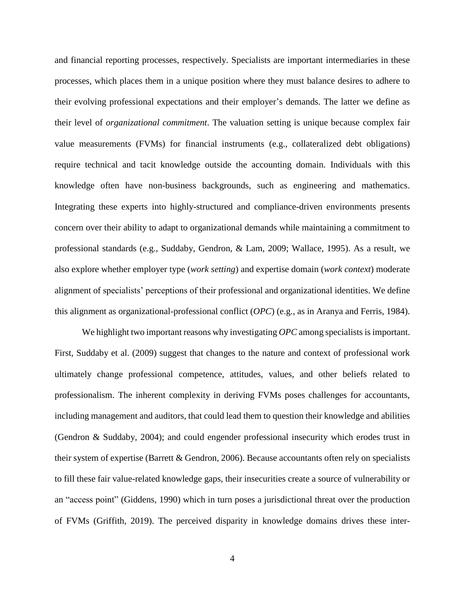and financial reporting processes, respectively. Specialists are important intermediaries in these processes, which places them in a unique position where they must balance desires to adhere to their evolving professional expectations and their employer's demands. The latter we define as their level of *organizational commitment*. The valuation setting is unique because complex fair value measurements (FVMs) for financial instruments (e.g., collateralized debt obligations) require technical and tacit knowledge outside the accounting domain. Individuals with this knowledge often have non-business backgrounds, such as engineering and mathematics. Integrating these experts into highly-structured and compliance-driven environments presents concern over their ability to adapt to organizational demands while maintaining a commitment to professional standards (e.g., Suddaby, Gendron, & Lam, 2009; Wallace, 1995). As a result, we also explore whether employer type (*work setting*) and expertise domain (*work context*) moderate alignment of specialists' perceptions of their professional and organizational identities. We define this alignment as organizational-professional conflict (*OPC*) (e.g., as in Aranya and Ferris, 1984).

We highlight two important reasons why investigating *OPC* among specialists is important. First, Suddaby et al. (2009) suggest that changes to the nature and context of professional work ultimately change professional competence, attitudes, values, and other beliefs related to professionalism. The inherent complexity in deriving FVMs poses challenges for accountants, including management and auditors, that could lead them to question their knowledge and abilities (Gendron & Suddaby, 2004); and could engender professional insecurity which erodes trust in their system of expertise (Barrett & Gendron, 2006). Because accountants often rely on specialists to fill these fair value-related knowledge gaps, their insecurities create a source of vulnerability or an "access point" (Giddens, 1990) which in turn poses a jurisdictional threat over the production of FVMs (Griffith, 2019). The perceived disparity in knowledge domains drives these inter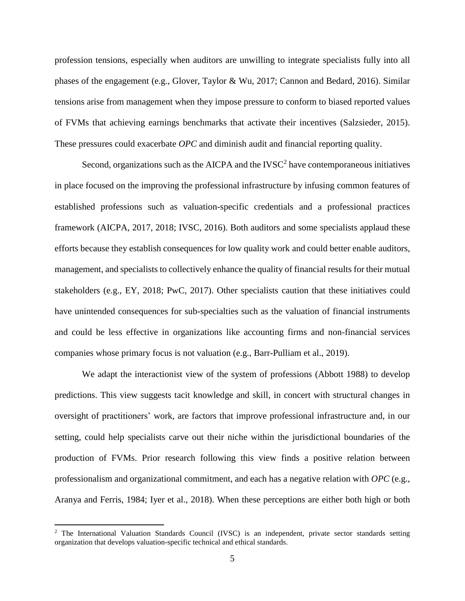profession tensions, especially when auditors are unwilling to integrate specialists fully into all phases of the engagement (e.g., Glover, Taylor & Wu, 2017; Cannon and Bedard, 2016). Similar tensions arise from management when they impose pressure to conform to biased reported values of FVMs that achieving earnings benchmarks that activate their incentives (Salzsieder, 2015). These pressures could exacerbate *OPC* and diminish audit and financial reporting quality.

Second, organizations such as the AICPA and the  $IVSC<sup>2</sup>$  have contemporaneous initiatives in place focused on the improving the professional infrastructure by infusing common features of established professions such as valuation-specific credentials and a professional practices framework (AICPA, 2017, 2018; IVSC, 2016). Both auditors and some specialists applaud these efforts because they establish consequences for low quality work and could better enable auditors, management, and specialists to collectively enhance the quality of financial results for their mutual stakeholders (e.g., EY, 2018; PwC, 2017). Other specialists caution that these initiatives could have unintended consequences for sub-specialties such as the valuation of financial instruments and could be less effective in organizations like accounting firms and non-financial services companies whose primary focus is not valuation (e.g., Barr-Pulliam et al., 2019).

We adapt the interactionist view of the system of professions (Abbott 1988) to develop predictions. This view suggests tacit knowledge and skill, in concert with structural changes in oversight of practitioners' work, are factors that improve professional infrastructure and, in our setting, could help specialists carve out their niche within the jurisdictional boundaries of the production of FVMs. Prior research following this view finds a positive relation between professionalism and organizational commitment, and each has a negative relation with *OPC* (e.g., Aranya and Ferris, 1984; Iyer et al., 2018). When these perceptions are either both high or both

<sup>&</sup>lt;sup>2</sup> The International Valuation Standards Council (IVSC) is an independent, private sector standards setting organization that develops valuation-specific technical and ethical standards.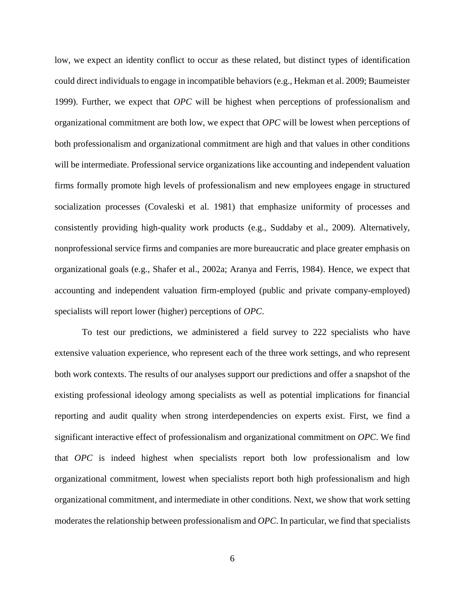low, we expect an identity conflict to occur as these related, but distinct types of identification could direct individuals to engage in incompatible behaviors (e.g., Hekman et al. 2009; Baumeister 1999). Further, we expect that *OPC* will be highest when perceptions of professionalism and organizational commitment are both low, we expect that *OPC* will be lowest when perceptions of both professionalism and organizational commitment are high and that values in other conditions will be intermediate. Professional service organizations like accounting and independent valuation firms formally promote high levels of professionalism and new employees engage in structured socialization processes (Covaleski et al. 1981) that emphasize uniformity of processes and consistently providing high-quality work products (e.g., Suddaby et al., 2009). Alternatively, nonprofessional service firms and companies are more bureaucratic and place greater emphasis on organizational goals (e.g., Shafer et al., 2002a; Aranya and Ferris, 1984). Hence, we expect that accounting and independent valuation firm-employed (public and private company-employed) specialists will report lower (higher) perceptions of *OPC*.

To test our predictions, we administered a field survey to 222 specialists who have extensive valuation experience, who represent each of the three work settings, and who represent both work contexts. The results of our analyses support our predictions and offer a snapshot of the existing professional ideology among specialists as well as potential implications for financial reporting and audit quality when strong interdependencies on experts exist. First, we find a significant interactive effect of professionalism and organizational commitment on *OPC*. We find that *OPC* is indeed highest when specialists report both low professionalism and low organizational commitment, lowest when specialists report both high professionalism and high organizational commitment, and intermediate in other conditions. Next, we show that work setting moderates the relationship between professionalism and *OPC*. In particular, we find that specialists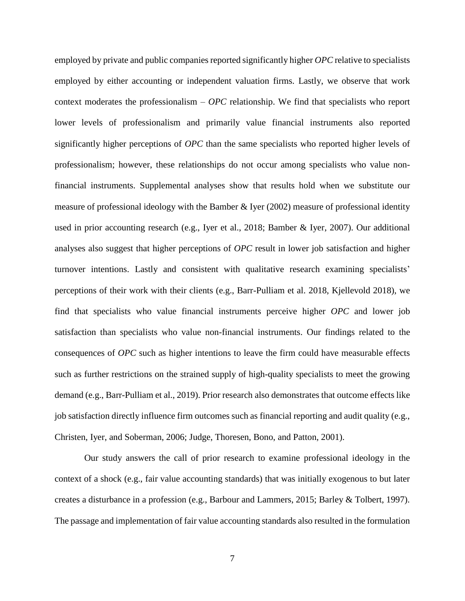employed by private and public companies reported significantly higher *OPC* relative to specialists employed by either accounting or independent valuation firms. Lastly, we observe that work context moderates the professionalism – *OPC* relationship. We find that specialists who report lower levels of professionalism and primarily value financial instruments also reported significantly higher perceptions of *OPC* than the same specialists who reported higher levels of professionalism; however, these relationships do not occur among specialists who value nonfinancial instruments. Supplemental analyses show that results hold when we substitute our measure of professional ideology with the Bamber & Iyer (2002) measure of professional identity used in prior accounting research (e.g., Iyer et al., 2018; Bamber & Iyer, 2007). Our additional analyses also suggest that higher perceptions of *OPC* result in lower job satisfaction and higher turnover intentions. Lastly and consistent with qualitative research examining specialists' perceptions of their work with their clients (e.g., Barr-Pulliam et al. 2018, Kjellevold 2018), we find that specialists who value financial instruments perceive higher *OPC* and lower job satisfaction than specialists who value non-financial instruments. Our findings related to the consequences of *OPC* such as higher intentions to leave the firm could have measurable effects such as further restrictions on the strained supply of high-quality specialists to meet the growing demand (e.g., Barr-Pulliam et al., 2019). Prior research also demonstrates that outcome effects like job satisfaction directly influence firm outcomes such as financial reporting and audit quality (e.g., Christen, Iyer, and Soberman, 2006; Judge, Thoresen, Bono, and Patton, 2001).

Our study answers the call of prior research to examine professional ideology in the context of a shock (e.g., fair value accounting standards) that was initially exogenous to but later creates a disturbance in a profession (e.g., Barbour and Lammers, 2015; Barley & Tolbert, 1997). The passage and implementation of fair value accounting standards also resulted in the formulation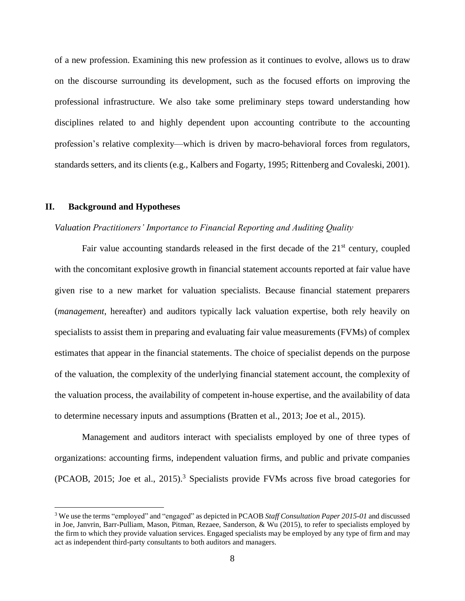of a new profession. Examining this new profession as it continues to evolve, allows us to draw on the discourse surrounding its development, such as the focused efforts on improving the professional infrastructure. We also take some preliminary steps toward understanding how disciplines related to and highly dependent upon accounting contribute to the accounting profession's relative complexity—which is driven by macro-behavioral forces from regulators, standards setters, and its clients (e.g., Kalbers and Fogarty, 1995; Rittenberg and Covaleski, 2001).

### **II. Background and Hypotheses**

 $\overline{a}$ 

### *Valuation Practitioners' Importance to Financial Reporting and Auditing Quality*

Fair value accounting standards released in the first decade of the  $21<sup>st</sup>$  century, coupled with the concomitant explosive growth in financial statement accounts reported at fair value have given rise to a new market for valuation specialists. Because financial statement preparers (*management*, hereafter) and auditors typically lack valuation expertise, both rely heavily on specialists to assist them in preparing and evaluating fair value measurements (FVMs) of complex estimates that appear in the financial statements. The choice of specialist depends on the purpose of the valuation, the complexity of the underlying financial statement account, the complexity of the valuation process, the availability of competent in-house expertise, and the availability of data to determine necessary inputs and assumptions (Bratten et al., 2013; Joe et al., 2015).

Management and auditors interact with specialists employed by one of three types of organizations: accounting firms, independent valuation firms, and public and private companies (PCAOB, 2015; Joe et al., 2015).<sup>3</sup> Specialists provide FVMs across five broad categories for

<sup>3</sup> We use the terms "employed" and "engaged" as depicted in PCAOB *Staff Consultation Paper 2015-01* and discussed in Joe, Janvrin, Barr-Pulliam, Mason, Pitman, Rezaee, Sanderson, & Wu (2015), to refer to specialists employed by the firm to which they provide valuation services. Engaged specialists may be employed by any type of firm and may act as independent third-party consultants to both auditors and managers.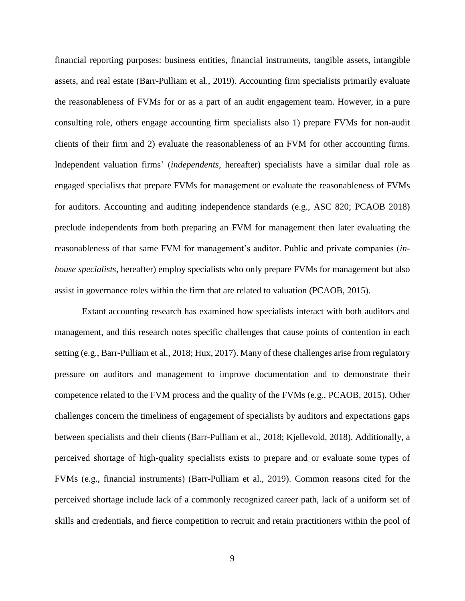financial reporting purposes: business entities, financial instruments, tangible assets, intangible assets, and real estate (Barr-Pulliam et al., 2019). Accounting firm specialists primarily evaluate the reasonableness of FVMs for or as a part of an audit engagement team. However, in a pure consulting role, others engage accounting firm specialists also 1) prepare FVMs for non-audit clients of their firm and 2) evaluate the reasonableness of an FVM for other accounting firms. Independent valuation firms' (*independents*, hereafter) specialists have a similar dual role as engaged specialists that prepare FVMs for management or evaluate the reasonableness of FVMs for auditors. Accounting and auditing independence standards (e.g., ASC 820; PCAOB 2018) preclude independents from both preparing an FVM for management then later evaluating the reasonableness of that same FVM for management's auditor. Public and private companies (*inhouse specialists*, hereafter) employ specialists who only prepare FVMs for management but also assist in governance roles within the firm that are related to valuation (PCAOB, 2015).

Extant accounting research has examined how specialists interact with both auditors and management, and this research notes specific challenges that cause points of contention in each setting (e.g., Barr-Pulliam et al., 2018; Hux, 2017). Many of these challenges arise from regulatory pressure on auditors and management to improve documentation and to demonstrate their competence related to the FVM process and the quality of the FVMs (e.g., PCAOB, 2015). Other challenges concern the timeliness of engagement of specialists by auditors and expectations gaps between specialists and their clients (Barr-Pulliam et al., 2018; Kjellevold, 2018). Additionally, a perceived shortage of high-quality specialists exists to prepare and or evaluate some types of FVMs (e.g., financial instruments) (Barr-Pulliam et al., 2019). Common reasons cited for the perceived shortage include lack of a commonly recognized career path, lack of a uniform set of skills and credentials, and fierce competition to recruit and retain practitioners within the pool of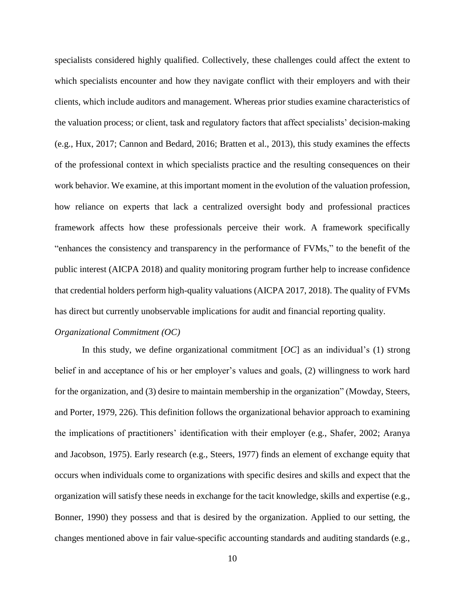specialists considered highly qualified. Collectively, these challenges could affect the extent to which specialists encounter and how they navigate conflict with their employers and with their clients, which include auditors and management. Whereas prior studies examine characteristics of the valuation process; or client, task and regulatory factors that affect specialists' decision-making (e.g., Hux, 2017; Cannon and Bedard, 2016; Bratten et al., 2013), this study examines the effects of the professional context in which specialists practice and the resulting consequences on their work behavior. We examine, at this important moment in the evolution of the valuation profession, how reliance on experts that lack a centralized oversight body and professional practices framework affects how these professionals perceive their work. A framework specifically "enhances the consistency and transparency in the performance of FVMs," to the benefit of the public interest (AICPA 2018) and quality monitoring program further help to increase confidence that credential holders perform high-quality valuations (AICPA 2017, 2018). The quality of FVMs has direct but currently unobservable implications for audit and financial reporting quality.

## *Organizational Commitment (OC)*

In this study, we define organizational commitment [*OC*] as an individual's (1) strong belief in and acceptance of his or her employer's values and goals, (2) willingness to work hard for the organization, and (3) desire to maintain membership in the organization" (Mowday, Steers, and Porter, 1979, 226). This definition follows the organizational behavior approach to examining the implications of practitioners' identification with their employer (e.g., Shafer, 2002; Aranya and Jacobson, 1975). Early research (e.g., Steers, 1977) finds an element of exchange equity that occurs when individuals come to organizations with specific desires and skills and expect that the organization will satisfy these needs in exchange for the tacit knowledge, skills and expertise (e.g., Bonner, 1990) they possess and that is desired by the organization. Applied to our setting, the changes mentioned above in fair value-specific accounting standards and auditing standards (e.g.,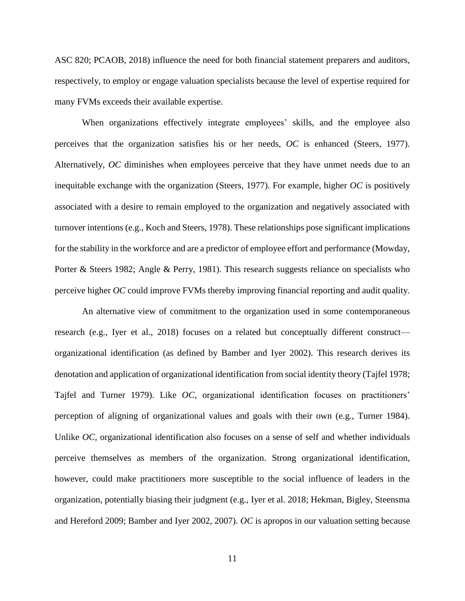ASC 820; PCAOB, 2018) influence the need for both financial statement preparers and auditors, respectively, to employ or engage valuation specialists because the level of expertise required for many FVMs exceeds their available expertise.

When organizations effectively integrate employees' skills, and the employee also perceives that the organization satisfies his or her needs, *OC* is enhanced (Steers, 1977). Alternatively, *OC* diminishes when employees perceive that they have unmet needs due to an inequitable exchange with the organization (Steers, 1977). For example, higher *OC* is positively associated with a desire to remain employed to the organization and negatively associated with turnover intentions (e.g., Koch and Steers, 1978). These relationships pose significant implications for the stability in the workforce and are a predictor of employee effort and performance (Mowday, Porter & Steers 1982; Angle & Perry, 1981). This research suggests reliance on specialists who perceive higher *OC* could improve FVMs thereby improving financial reporting and audit quality.

An alternative view of commitment to the organization used in some contemporaneous research (e.g., Iyer et al., 2018) focuses on a related but conceptually different construct organizational identification (as defined by Bamber and Iyer 2002). This research derives its denotation and application of organizational identification from social identity theory (Tajfel 1978; Tajfel and Turner 1979). Like *OC*, organizational identification focuses on practitioners' perception of aligning of organizational values and goals with their own (e.g., Turner 1984). Unlike *OC*, organizational identification also focuses on a sense of self and whether individuals perceive themselves as members of the organization. Strong organizational identification, however, could make practitioners more susceptible to the social influence of leaders in the organization, potentially biasing their judgment (e.g., Iyer et al. 2018; Hekman, Bigley, Steensma and Hereford 2009; Bamber and Iyer 2002, 2007). *OC* is apropos in our valuation setting because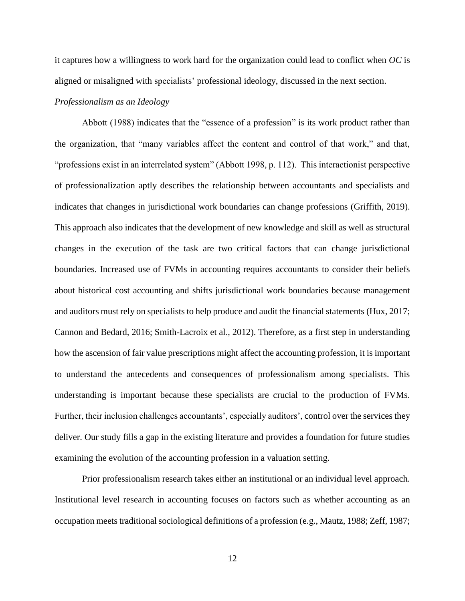it captures how a willingness to work hard for the organization could lead to conflict when *OC* is aligned or misaligned with specialists' professional ideology, discussed in the next section.

### *Professionalism as an Ideology*

Abbott (1988) indicates that the "essence of a profession" is its work product rather than the organization, that "many variables affect the content and control of that work," and that, "professions exist in an interrelated system" (Abbott 1998, p. 112). This interactionist perspective of professionalization aptly describes the relationship between accountants and specialists and indicates that changes in jurisdictional work boundaries can change professions (Griffith, 2019). This approach also indicates that the development of new knowledge and skill as well as structural changes in the execution of the task are two critical factors that can change jurisdictional boundaries. Increased use of FVMs in accounting requires accountants to consider their beliefs about historical cost accounting and shifts jurisdictional work boundaries because management and auditors must rely on specialists to help produce and audit the financial statements (Hux, 2017; Cannon and Bedard, 2016; Smith-Lacroix et al., 2012). Therefore, as a first step in understanding how the ascension of fair value prescriptions might affect the accounting profession, it is important to understand the antecedents and consequences of professionalism among specialists. This understanding is important because these specialists are crucial to the production of FVMs. Further, their inclusion challenges accountants', especially auditors', control over the services they deliver. Our study fills a gap in the existing literature and provides a foundation for future studies examining the evolution of the accounting profession in a valuation setting.

Prior professionalism research takes either an institutional or an individual level approach. Institutional level research in accounting focuses on factors such as whether accounting as an occupation meets traditional sociological definitions of a profession (e.g., Mautz, 1988; Zeff, 1987;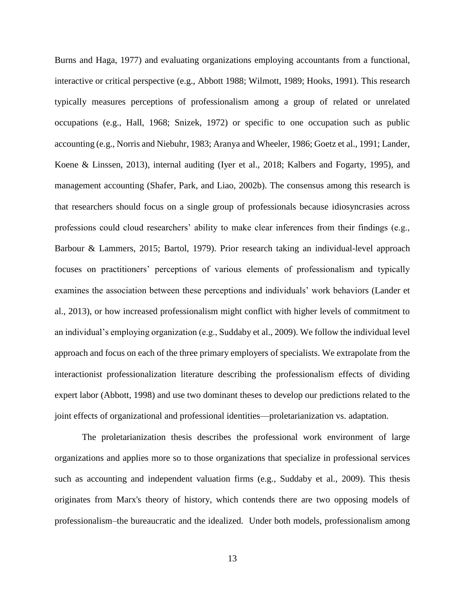Burns and Haga, 1977) and evaluating organizations employing accountants from a functional, interactive or critical perspective (e.g., Abbott 1988; Wilmott, 1989; Hooks, 1991). This research typically measures perceptions of professionalism among a group of related or unrelated occupations (e.g., Hall, 1968; Snizek, 1972) or specific to one occupation such as public accounting (e.g., Norris and Niebuhr, 1983; Aranya and Wheeler, 1986; Goetz et al., 1991; Lander, Koene & Linssen, 2013), internal auditing (Iyer et al., 2018; Kalbers and Fogarty, 1995), and management accounting (Shafer, Park, and Liao, 2002b). The consensus among this research is that researchers should focus on a single group of professionals because idiosyncrasies across professions could cloud researchers' ability to make clear inferences from their findings (e.g., Barbour & Lammers, 2015; Bartol, 1979). Prior research taking an individual-level approach focuses on practitioners' perceptions of various elements of professionalism and typically examines the association between these perceptions and individuals' work behaviors (Lander et al., 2013), or how increased professionalism might conflict with higher levels of commitment to an individual's employing organization (e.g., Suddaby et al., 2009). We follow the individual level approach and focus on each of the three primary employers of specialists. We extrapolate from the interactionist professionalization literature describing the professionalism effects of dividing expert labor (Abbott, 1998) and use two dominant theses to develop our predictions related to the joint effects of organizational and professional identities—proletarianization vs. adaptation.

The proletarianization thesis describes the professional work environment of large organizations and applies more so to those organizations that specialize in professional services such as accounting and independent valuation firms (e.g., Suddaby et al., 2009). This thesis originates from Marx's theory of history, which contends there are two opposing models of professionalism–the bureaucratic and the idealized. Under both models, professionalism among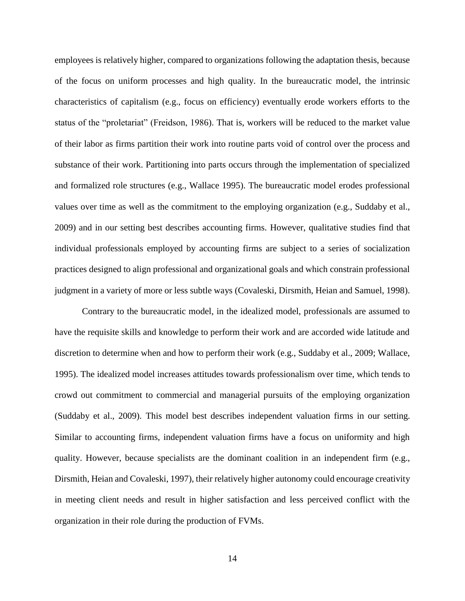employees is relatively higher, compared to organizations following the adaptation thesis, because of the focus on uniform processes and high quality. In the bureaucratic model, the intrinsic characteristics of capitalism (e.g., focus on efficiency) eventually erode workers efforts to the status of the "proletariat" (Freidson, 1986). That is, workers will be reduced to the market value of their labor as firms partition their work into routine parts void of control over the process and substance of their work. Partitioning into parts occurs through the implementation of specialized and formalized role structures (e.g., Wallace 1995). The bureaucratic model erodes professional values over time as well as the commitment to the employing organization (e.g., Suddaby et al., 2009) and in our setting best describes accounting firms. However, qualitative studies find that individual professionals employed by accounting firms are subject to a series of socialization practices designed to align professional and organizational goals and which constrain professional judgment in a variety of more or less subtle ways (Covaleski, Dirsmith, Heian and Samuel, 1998).

Contrary to the bureaucratic model, in the idealized model, professionals are assumed to have the requisite skills and knowledge to perform their work and are accorded wide latitude and discretion to determine when and how to perform their work (e.g., Suddaby et al., 2009; Wallace, 1995). The idealized model increases attitudes towards professionalism over time, which tends to crowd out commitment to commercial and managerial pursuits of the employing organization (Suddaby et al., 2009). This model best describes independent valuation firms in our setting. Similar to accounting firms, independent valuation firms have a focus on uniformity and high quality. However, because specialists are the dominant coalition in an independent firm (e.g., Dirsmith, Heian and Covaleski, 1997), their relatively higher autonomy could encourage creativity in meeting client needs and result in higher satisfaction and less perceived conflict with the organization in their role during the production of FVMs.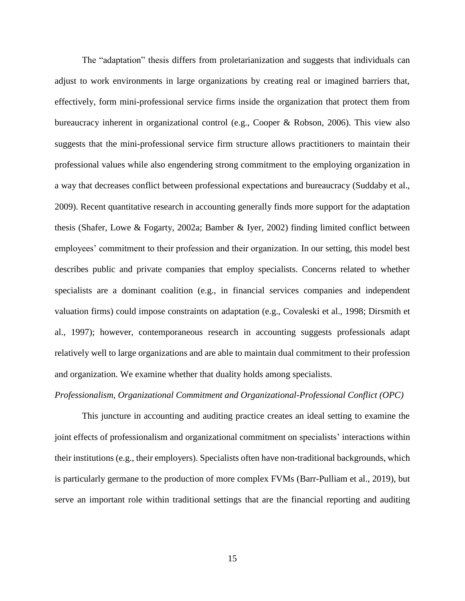The "adaptation" thesis differs from proletarianization and suggests that individuals can adjust to work environments in large organizations by creating real or imagined barriers that, effectively, form mini-professional service firms inside the organization that protect them from bureaucracy inherent in organizational control (e.g., Cooper & Robson, 2006). This view also suggests that the mini-professional service firm structure allows practitioners to maintain their professional values while also engendering strong commitment to the employing organization in a way that decreases conflict between professional expectations and bureaucracy (Suddaby et al., 2009). Recent quantitative research in accounting generally finds more support for the adaptation thesis (Shafer, Lowe & Fogarty, 2002a; Bamber & Iyer, 2002) finding limited conflict between employees' commitment to their profession and their organization. In our setting, this model best describes public and private companies that employ specialists. Concerns related to whether specialists are a dominant coalition (e.g., in financial services companies and independent valuation firms) could impose constraints on adaptation (e.g., Covaleski et al., 1998; Dirsmith et al., 1997); however, contemporaneous research in accounting suggests professionals adapt relatively well to large organizations and are able to maintain dual commitment to their profession and organization. We examine whether that duality holds among specialists.

### *Professionalism, Organizational Commitment and Organizational-Professional Conflict (OPC)*

This juncture in accounting and auditing practice creates an ideal setting to examine the joint effects of professionalism and organizational commitment on specialists' interactions within their institutions (e.g., their employers). Specialists often have non-traditional backgrounds, which is particularly germane to the production of more complex FVMs (Barr-Pulliam et al., 2019), but serve an important role within traditional settings that are the financial reporting and auditing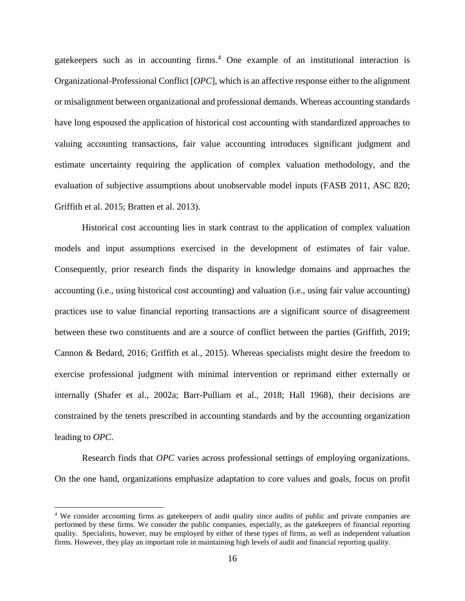gatekeepers such as in accounting firms.<sup>4</sup> One example of an institutional interaction is Organizational-Professional Conflict [*OPC*], which is an affective response either to the alignment or misalignment between organizational and professional demands. Whereas accounting standards have long espoused the application of historical cost accounting with standardized approaches to valuing accounting transactions, fair value accounting introduces significant judgment and estimate uncertainty requiring the application of complex valuation methodology, and the evaluation of subjective assumptions about unobservable model inputs (FASB 2011, ASC 820; Griffith et al. 2015; Bratten et al. 2013).

Historical cost accounting lies in stark contrast to the application of complex valuation models and input assumptions exercised in the development of estimates of fair value. Consequently, prior research finds the disparity in knowledge domains and approaches the accounting (i.e., using historical cost accounting) and valuation (i.e., using fair value accounting) practices use to value financial reporting transactions are a significant source of disagreement between these two constituents and are a source of conflict between the parties (Griffith, 2019; Cannon & Bedard, 2016; Griffith et al., 2015). Whereas specialists might desire the freedom to exercise professional judgment with minimal intervention or reprimand either externally or internally (Shafer et al., 2002a; Barr-Pulliam et al., 2018; Hall 1968), their decisions are constrained by the tenets prescribed in accounting standards and by the accounting organization leading to *OPC*.

Research finds that *OPC* varies across professional settings of employing organizations. On the one hand, organizations emphasize adaptation to core values and goals, focus on profit

<sup>4</sup> We consider accounting firms as gatekeepers of audit quality since audits of public and private companies are performed by these firms. We consider the public companies, especially, as the gatekeepers of financial reporting quality. Specialists, however, may be employed by either of these types of firms, as well as independent valuation firms. However, they play an important role in maintaining high levels of audit and financial reporting quality.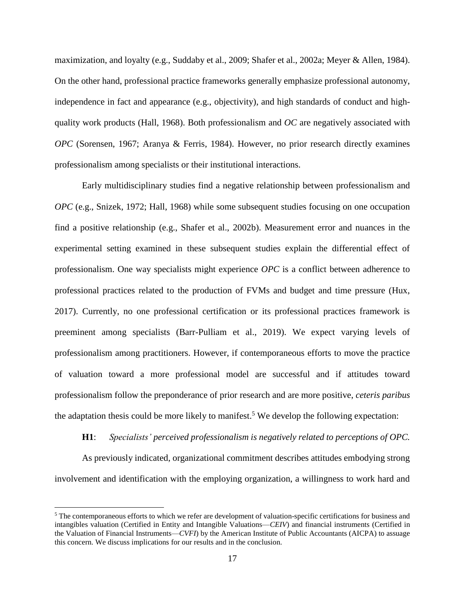maximization, and loyalty (e.g., Suddaby et al., 2009; Shafer et al., 2002a; Meyer & Allen, 1984). On the other hand, professional practice frameworks generally emphasize professional autonomy, independence in fact and appearance (e.g., objectivity), and high standards of conduct and highquality work products (Hall, 1968). Both professionalism and *OC* are negatively associated with *OPC* (Sorensen, 1967; Aranya & Ferris, 1984). However, no prior research directly examines professionalism among specialists or their institutional interactions.

Early multidisciplinary studies find a negative relationship between professionalism and *OPC* (e.g., Snizek, 1972; Hall, 1968) while some subsequent studies focusing on one occupation find a positive relationship (e.g., Shafer et al., 2002b). Measurement error and nuances in the experimental setting examined in these subsequent studies explain the differential effect of professionalism. One way specialists might experience *OPC* is a conflict between adherence to professional practices related to the production of FVMs and budget and time pressure (Hux, 2017). Currently, no one professional certification or its professional practices framework is preeminent among specialists (Barr-Pulliam et al., 2019). We expect varying levels of professionalism among practitioners. However, if contemporaneous efforts to move the practice of valuation toward a more professional model are successful and if attitudes toward professionalism follow the preponderance of prior research and are more positive, *ceteris paribus* the adaptation thesis could be more likely to manifest.<sup>5</sup> We develop the following expectation:

### **H1**: *Specialists' perceived professionalism is negatively related to perceptions of OPC.*

As previously indicated, organizational commitment describes attitudes embodying strong involvement and identification with the employing organization, a willingness to work hard and

<sup>5</sup> The contemporaneous efforts to which we refer are development of valuation-specific certifications for business and intangibles valuation (Certified in Entity and Intangible Valuations—*CEIV*) and financial instruments (Certified in the Valuation of Financial Instruments—*CVFI*) by the American Institute of Public Accountants (AICPA) to assuage this concern. We discuss implications for our results and in the conclusion.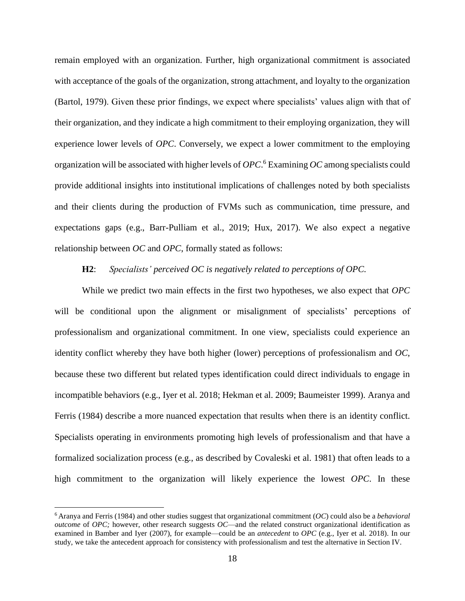remain employed with an organization. Further, high organizational commitment is associated with acceptance of the goals of the organization, strong attachment, and loyalty to the organization (Bartol, 1979). Given these prior findings, we expect where specialists' values align with that of their organization, and they indicate a high commitment to their employing organization, they will experience lower levels of *OPC*. Conversely, we expect a lower commitment to the employing organization will be associated with higher levels of *OPC*. <sup>6</sup> Examining *OC* among specialists could provide additional insights into institutional implications of challenges noted by both specialists and their clients during the production of FVMs such as communication, time pressure, and expectations gaps (e.g., Barr-Pulliam et al., 2019; Hux, 2017). We also expect a negative relationship between *OC* and *OPC*, formally stated as follows:

## **H2**: *Specialists' perceived OC is negatively related to perceptions of OPC.*

While we predict two main effects in the first two hypotheses, we also expect that *OPC* will be conditional upon the alignment or misalignment of specialists' perceptions of professionalism and organizational commitment. In one view, specialists could experience an identity conflict whereby they have both higher (lower) perceptions of professionalism and *OC*, because these two different but related types identification could direct individuals to engage in incompatible behaviors (e.g., Iyer et al. 2018; Hekman et al. 2009; Baumeister 1999). Aranya and Ferris (1984) describe a more nuanced expectation that results when there is an identity conflict. Specialists operating in environments promoting high levels of professionalism and that have a formalized socialization process (e.g., as described by Covaleski et al. 1981) that often leads to a high commitment to the organization will likely experience the lowest *OPC*. In these

<sup>6</sup> Aranya and Ferris (1984) and other studies suggest that organizational commitment (*OC*) could also be a *behavioral outcome* of *OPC;* however, other research suggests *OC*—and the related construct organizational identification as examined in Bamber and Iyer (2007), for example—could be an *antecedent* to *OPC* (e.g., Iyer et al. 2018). In our study, we take the antecedent approach for consistency with professionalism and test the alternative in Section IV.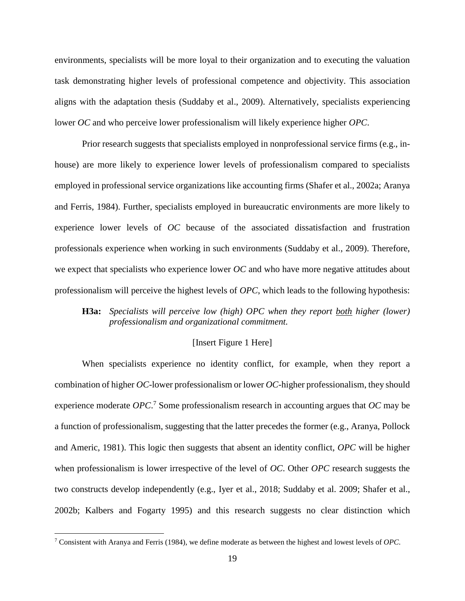environments, specialists will be more loyal to their organization and to executing the valuation task demonstrating higher levels of professional competence and objectivity. This association aligns with the adaptation thesis (Suddaby et al., 2009). Alternatively, specialists experiencing lower *OC* and who perceive lower professionalism will likely experience higher *OPC*.

Prior research suggests that specialists employed in nonprofessional service firms (e.g., inhouse) are more likely to experience lower levels of professionalism compared to specialists employed in professional service organizations like accounting firms (Shafer et al., 2002a; Aranya and Ferris, 1984). Further, specialists employed in bureaucratic environments are more likely to experience lower levels of *OC* because of the associated dissatisfaction and frustration professionals experience when working in such environments (Suddaby et al., 2009). Therefore, we expect that specialists who experience lower *OC* and who have more negative attitudes about professionalism will perceive the highest levels of *OPC*, which leads to the following hypothesis:

# **H3a:** *Specialists will perceive low (high) OPC when they report both higher (lower) professionalism and organizational commitment.*

## [Insert Figure 1 Here]

When specialists experience no identity conflict, for example, when they report a combination of higher *OC*-lower professionalism or lower *OC*-higher professionalism, they should experience moderate *OPC*. <sup>7</sup> Some professionalism research in accounting argues that *OC* may be a function of professionalism, suggesting that the latter precedes the former (e.g., Aranya, Pollock and Americ, 1981). This logic then suggests that absent an identity conflict, *OPC* will be higher when professionalism is lower irrespective of the level of *OC*. Other *OPC* research suggests the two constructs develop independently (e.g., Iyer et al., 2018; Suddaby et al. 2009; Shafer et al., 2002b; Kalbers and Fogarty 1995) and this research suggests no clear distinction which

 $\overline{\phantom{a}}$ 

<sup>7</sup> Consistent with Aranya and Ferris (1984), we define moderate as between the highest and lowest levels of *OPC*.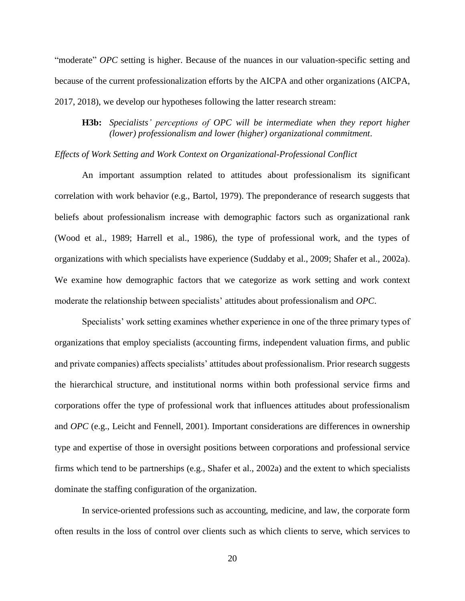"moderate" *OPC* setting is higher. Because of the nuances in our valuation-specific setting and because of the current professionalization efforts by the AICPA and other organizations (AICPA, 2017, 2018), we develop our hypotheses following the latter research stream:

# **H3b:** *Specialists' perceptions of OPC will be intermediate when they report higher (lower) professionalism and lower (higher) organizational commitment*.

## *Effects of Work Setting and Work Context on Organizational-Professional Conflict*

An important assumption related to attitudes about professionalism its significant correlation with work behavior (e.g., Bartol, 1979). The preponderance of research suggests that beliefs about professionalism increase with demographic factors such as organizational rank (Wood et al., 1989; Harrell et al., 1986), the type of professional work, and the types of organizations with which specialists have experience (Suddaby et al., 2009; Shafer et al., 2002a). We examine how demographic factors that we categorize as work setting and work context moderate the relationship between specialists' attitudes about professionalism and *OPC*.

Specialists' work setting examines whether experience in one of the three primary types of organizations that employ specialists (accounting firms, independent valuation firms, and public and private companies) affects specialists' attitudes about professionalism. Prior research suggests the hierarchical structure, and institutional norms within both professional service firms and corporations offer the type of professional work that influences attitudes about professionalism and *OPC* (e.g., Leicht and Fennell, 2001). Important considerations are differences in ownership type and expertise of those in oversight positions between corporations and professional service firms which tend to be partnerships (e.g., Shafer et al., 2002a) and the extent to which specialists dominate the staffing configuration of the organization.

In service-oriented professions such as accounting, medicine, and law, the corporate form often results in the loss of control over clients such as which clients to serve, which services to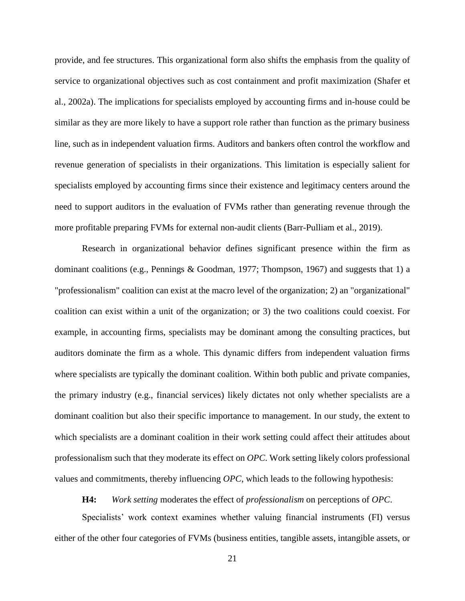provide, and fee structures. This organizational form also shifts the emphasis from the quality of service to organizational objectives such as cost containment and profit maximization (Shafer et al., 2002a). The implications for specialists employed by accounting firms and in-house could be similar as they are more likely to have a support role rather than function as the primary business line, such as in independent valuation firms. Auditors and bankers often control the workflow and revenue generation of specialists in their organizations. This limitation is especially salient for specialists employed by accounting firms since their existence and legitimacy centers around the need to support auditors in the evaluation of FVMs rather than generating revenue through the more profitable preparing FVMs for external non-audit clients (Barr-Pulliam et al., 2019).

Research in organizational behavior defines significant presence within the firm as dominant coalitions (e.g., Pennings & Goodman, 1977; Thompson, 1967) and suggests that 1) a "professionalism" coalition can exist at the macro level of the organization; 2) an "organizational" coalition can exist within a unit of the organization; or 3) the two coalitions could coexist. For example, in accounting firms, specialists may be dominant among the consulting practices, but auditors dominate the firm as a whole. This dynamic differs from independent valuation firms where specialists are typically the dominant coalition. Within both public and private companies, the primary industry (e.g., financial services) likely dictates not only whether specialists are a dominant coalition but also their specific importance to management. In our study, the extent to which specialists are a dominant coalition in their work setting could affect their attitudes about professionalism such that they moderate its effect on *OPC*. Work setting likely colors professional values and commitments, thereby influencing *OPC*, which leads to the following hypothesis:

**H4:** *Work setting* moderates the effect of *professionalism* on perceptions of *OPC*.

Specialists' work context examines whether valuing financial instruments (FI) versus either of the other four categories of FVMs (business entities, tangible assets, intangible assets, or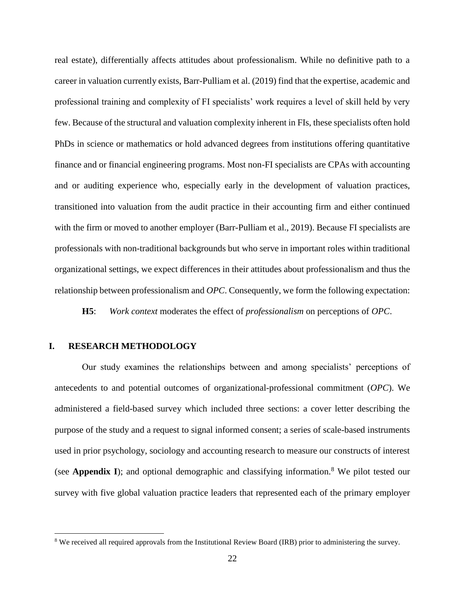real estate), differentially affects attitudes about professionalism. While no definitive path to a career in valuation currently exists, Barr-Pulliam et al. (2019) find that the expertise, academic and professional training and complexity of FI specialists' work requires a level of skill held by very few. Because of the structural and valuation complexity inherent in FIs, these specialists often hold PhDs in science or mathematics or hold advanced degrees from institutions offering quantitative finance and or financial engineering programs. Most non-FI specialists are CPAs with accounting and or auditing experience who, especially early in the development of valuation practices, transitioned into valuation from the audit practice in their accounting firm and either continued with the firm or moved to another employer (Barr-Pulliam et al., 2019). Because FI specialists are professionals with non-traditional backgrounds but who serve in important roles within traditional organizational settings, we expect differences in their attitudes about professionalism and thus the relationship between professionalism and *OPC*. Consequently, we form the following expectation:

**H5**: *Work context* moderates the effect of *professionalism* on perceptions of *OPC*.

## **I. RESEARCH METHODOLOGY**

 $\overline{\phantom{a}}$ 

Our study examines the relationships between and among specialists' perceptions of antecedents to and potential outcomes of organizational-professional commitment (*OPC*). We administered a field-based survey which included three sections: a cover letter describing the purpose of the study and a request to signal informed consent; a series of scale-based instruments used in prior psychology, sociology and accounting research to measure our constructs of interest (see **Appendix I**); and optional demographic and classifying information.<sup>8</sup> We pilot tested our survey with five global valuation practice leaders that represented each of the primary employer

<sup>8</sup> We received all required approvals from the Institutional Review Board (IRB) prior to administering the survey.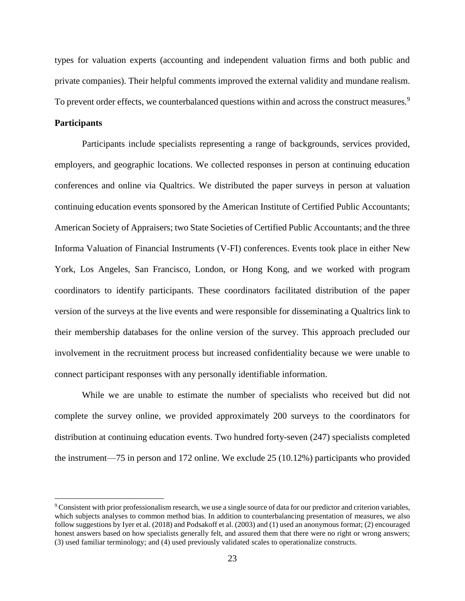types for valuation experts (accounting and independent valuation firms and both public and private companies). Their helpful comments improved the external validity and mundane realism. To prevent order effects, we counterbalanced questions within and across the construct measures.<sup>9</sup>

## **Participants**

l

Participants include specialists representing a range of backgrounds, services provided, employers, and geographic locations. We collected responses in person at continuing education conferences and online via Qualtrics. We distributed the paper surveys in person at valuation continuing education events sponsored by the American Institute of Certified Public Accountants; American Society of Appraisers; two State Societies of Certified Public Accountants; and the three Informa Valuation of Financial Instruments (V-FI) conferences. Events took place in either New York, Los Angeles, San Francisco, London, or Hong Kong, and we worked with program coordinators to identify participants. These coordinators facilitated distribution of the paper version of the surveys at the live events and were responsible for disseminating a Qualtrics link to their membership databases for the online version of the survey. This approach precluded our involvement in the recruitment process but increased confidentiality because we were unable to connect participant responses with any personally identifiable information.

While we are unable to estimate the number of specialists who received but did not complete the survey online, we provided approximately 200 surveys to the coordinators for distribution at continuing education events. Two hundred forty-seven (247) specialists completed the instrument—75 in person and 172 online. We exclude 25 (10.12%) participants who provided

<sup>9</sup> Consistent with prior professionalism research, we use a single source of data for our predictor and criterion variables, which subjects analyses to common method bias. In addition to counterbalancing presentation of measures, we also follow suggestions by Iyer et al. (2018) and Podsakoff et al. (2003) and (1) used an anonymous format; (2) encouraged honest answers based on how specialists generally felt, and assured them that there were no right or wrong answers; (3) used familiar terminology; and (4) used previously validated scales to operationalize constructs.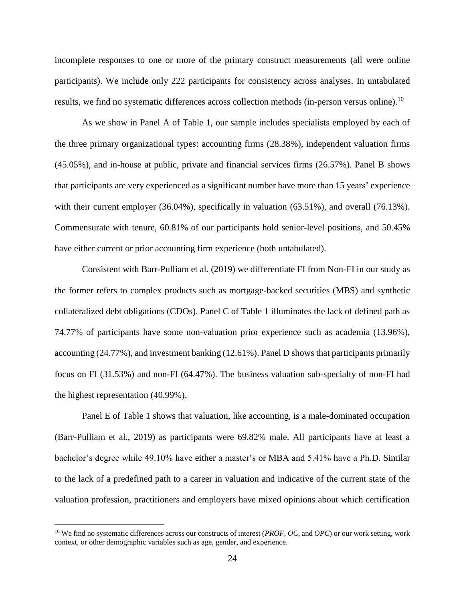incomplete responses to one or more of the primary construct measurements (all were online participants). We include only 222 participants for consistency across analyses. In untabulated results, we find no systematic differences across collection methods (in-person versus online).<sup>10</sup>

As we show in Panel A of Table 1, our sample includes specialists employed by each of the three primary organizational types: accounting firms (28.38%), independent valuation firms (45.05%), and in-house at public, private and financial services firms (26.57%). Panel B shows that participants are very experienced as a significant number have more than 15 years' experience with their current employer (36.04%), specifically in valuation (63.51%), and overall (76.13%). Commensurate with tenure, 60.81% of our participants hold senior-level positions, and 50.45% have either current or prior accounting firm experience (both untabulated).

Consistent with Barr-Pulliam et al. (2019) we differentiate FI from Non-FI in our study as the former refers to complex products such as mortgage-backed securities (MBS) and synthetic collateralized debt obligations (CDOs). Panel C of Table 1 illuminates the lack of defined path as 74.77% of participants have some non-valuation prior experience such as academia (13.96%), accounting (24.77%), and investment banking (12.61%). Panel D shows that participants primarily focus on FI (31.53%) and non-FI (64.47%). The business valuation sub-specialty of non-FI had the highest representation (40.99%).

Panel E of Table 1 shows that valuation, like accounting, is a male-dominated occupation (Barr-Pulliam et al., 2019) as participants were 69.82% male. All participants have at least a bachelor's degree while 49.10% have either a master's or MBA and 5.41% have a Ph.D. Similar to the lack of a predefined path to a career in valuation and indicative of the current state of the valuation profession, practitioners and employers have mixed opinions about which certification

<sup>10</sup> We find no systematic differences across our constructs of interest (*PROF*, *OC*, and *OPC*) or our work setting, work context, or other demographic variables such as age, gender, and experience.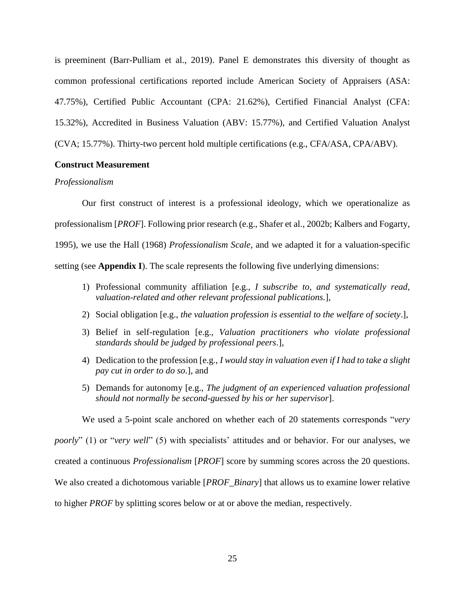is preeminent (Barr-Pulliam et al., 2019). Panel E demonstrates this diversity of thought as common professional certifications reported include American Society of Appraisers (ASA: 47.75%), Certified Public Accountant (CPA: 21.62%), Certified Financial Analyst (CFA: 15.32%), Accredited in Business Valuation (ABV: 15.77%), and Certified Valuation Analyst (CVA; 15.77%). Thirty-two percent hold multiple certifications (e.g., CFA/ASA, CPA/ABV).

## **Construct Measurement**

### *Professionalism*

Our first construct of interest is a professional ideology, which we operationalize as professionalism [*PROF*]. Following prior research (e.g., Shafer et al., 2002b; Kalbers and Fogarty, 1995), we use the Hall (1968) *Professionalism Scale,* and we adapted it for a valuation-specific setting (see **Appendix I**). The scale represents the following five underlying dimensions:

- 1) Professional community affiliation [e.g., *I subscribe to, and systematically read, valuation-related and other relevant professional publications.*],
- 2) Social obligation [e.g., *the valuation profession is essential to the welfare of society*.],
- 3) Belief in self-regulation [e.g., *Valuation practitioners who violate professional standards should be judged by professional peers*.],
- 4) Dedication to the profession [e.g., *I would stay in valuation even if I had to take a slight pay cut in order to do so*.], and
- 5) Demands for autonomy [e.g., *The judgment of an experienced valuation professional should not normally be second-guessed by his or her supervisor*].

We used a 5-point scale anchored on whether each of 20 statements corresponds "*very* 

*poorly*" (1) or "*very well*" (5) with specialists' attitudes and or behavior. For our analyses, we

created a continuous *Professionalism* [*PROF*] score by summing scores across the 20 questions.

We also created a dichotomous variable [*PROF\_Binary*] that allows us to examine lower relative

to higher *PROF* by splitting scores below or at or above the median, respectively.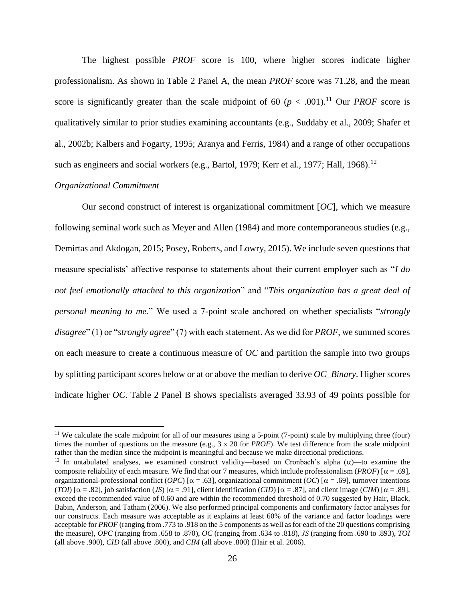The highest possible *PROF* score is 100, where higher scores indicate higher professionalism. As shown in Table 2 Panel A, the mean *PROF* score was 71.28, and the mean score is significantly greater than the scale midpoint of 60 ( $p < .001$ ).<sup>11</sup> Our *PROF* score is qualitatively similar to prior studies examining accountants (e.g., Suddaby et al., 2009; Shafer et al., 2002b; Kalbers and Fogarty, 1995; Aranya and Ferris, 1984) and a range of other occupations such as engineers and social workers (e.g., Bartol, 1979; Kerr et al., 1977; Hall, 1968).<sup>12</sup>

## *Organizational Commitment*

 $\overline{\phantom{a}}$ 

Our second construct of interest is organizational commitment [*OC*], which we measure following seminal work such as Meyer and Allen (1984) and more contemporaneous studies (e.g., Demirtas and Akdogan, 2015; Posey, Roberts, and Lowry, 2015). We include seven questions that measure specialists' affective response to statements about their current employer such as "*I do not feel emotionally attached to this organization*" and "*This organization has a great deal of personal meaning to me*." We used a 7-point scale anchored on whether specialists "*strongly disagree*" (1) or "*strongly agree*" (7) with each statement. As we did for *PROF*, we summed scores on each measure to create a continuous measure of *OC* and partition the sample into two groups by splitting participant scores below or at or above the median to derive *OC\_Binary*. Higher scores indicate higher *OC*. Table 2 Panel B shows specialists averaged 33.93 of 49 points possible for

<sup>&</sup>lt;sup>11</sup> We calculate the scale midpoint for all of our measures using a 5-point (7-point) scale by multiplying three (four) times the number of questions on the measure (e.g., 3 x 20 for *PROF*). We test difference from the scale midpoint rather than the median since the midpoint is meaningful and because we make directional predictions.

<sup>&</sup>lt;sup>12</sup> In untabulated analyses, we examined construct validity—based on Cronbach's alpha  $(\alpha)$ —to examine the composite reliability of each measure. We find that our 7 measures, which include professionalism (*PROF*) [ $\alpha$  = .69], organizational-professional conflict (*OPC*) [ $\alpha$  = .63], organizational commitment (*OC*) [ $\alpha$  = .69], turnover intentions  $(TO)$  [ $\alpha = .82$ ], job satisfaction (*JS*) [ $\alpha = .91$ ], client identification (*CID*) [ $\alpha = .87$ ], and client image (*CIM*) [ $\alpha = .89$ ], exceed the recommended value of 0.60 and are within the recommended threshold of 0.70 suggested by Hair, Black, Babin, Anderson, and Tatham (2006). We also performed principal components and confirmatory factor analyses for our constructs. Each measure was acceptable as it explains at least 60% of the variance and factor loadings were acceptable for *PROF* (ranging from .773 to .918 on the 5 components as well as for each of the 20 questions comprising the measure), *OPC* (ranging from .658 to .870), *OC* (ranging from .634 to .818), *JS* (ranging from .690 to .893), *TOI* (all above .900), *CID* (all above .800), and *CIM* (all above .800) (Hair et al. 2006).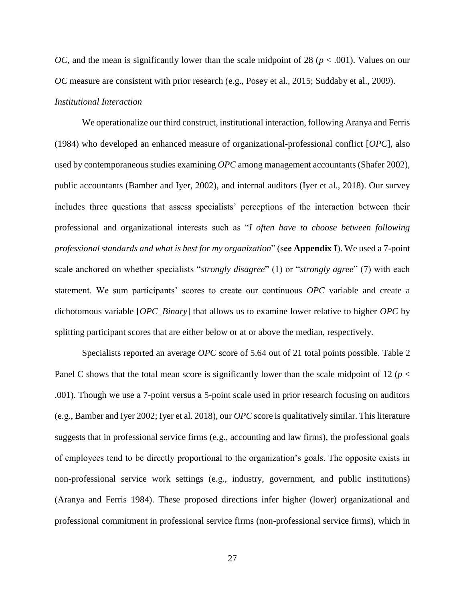*OC*, and the mean is significantly lower than the scale midpoint of 28 ( $p < .001$ ). Values on our *OC* measure are consistent with prior research (e.g., Posey et al., 2015; Suddaby et al., 2009).

# *Institutional Interaction*

We operationalize our third construct, institutional interaction, following Aranya and Ferris (1984) who developed an enhanced measure of organizational-professional conflict [*OPC*], also used by contemporaneous studies examining *OPC* among management accountants (Shafer 2002), public accountants (Bamber and Iyer, 2002), and internal auditors (Iyer et al., 2018). Our survey includes three questions that assess specialists' perceptions of the interaction between their professional and organizational interests such as "*I often have to choose between following professional standards and what is best for my organization*" (see **Appendix I**). We used a 7-point scale anchored on whether specialists "*strongly disagree*" (1) or "*strongly agree*" (7) with each statement. We sum participants' scores to create our continuous *OPC* variable and create a dichotomous variable [*OPC\_Binary*] that allows us to examine lower relative to higher *OPC* by splitting participant scores that are either below or at or above the median, respectively.

Specialists reported an average *OPC* score of 5.64 out of 21 total points possible. Table 2 Panel C shows that the total mean score is significantly lower than the scale midpoint of 12 (*p* < .001). Though we use a 7-point versus a 5-point scale used in prior research focusing on auditors (e.g., Bamber and Iyer 2002; Iyer et al. 2018), our *OPC* score is qualitatively similar. This literature suggests that in professional service firms (e.g., accounting and law firms), the professional goals of employees tend to be directly proportional to the organization's goals. The opposite exists in non-professional service work settings (e.g., industry, government, and public institutions) (Aranya and Ferris 1984). These proposed directions infer higher (lower) organizational and professional commitment in professional service firms (non-professional service firms), which in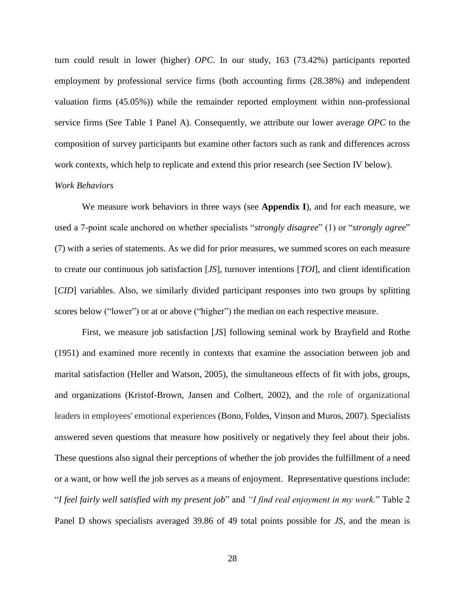turn could result in lower (higher) *OPC*. In our study, 163 (73.42%) participants reported employment by professional service firms (both accounting firms (28.38%) and independent valuation firms (45.05%)) while the remainder reported employment within non-professional service firms (See Table 1 Panel A). Consequently, we attribute our lower average *OPC* to the composition of survey participants but examine other factors such as rank and differences across work contexts, which help to replicate and extend this prior research (see Section IV below).

### *Work Behaviors*

We measure work behaviors in three ways (see **Appendix I**), and for each measure, we used a 7-point scale anchored on whether specialists "*strongly disagree*" (1) or "*strongly agree*" (7) with a series of statements. As we did for prior measures, we summed scores on each measure to create our continuous job satisfaction [*JS*], turnover intentions [*TOI*], and client identification [*CID*] variables. Also, we similarly divided participant responses into two groups by splitting scores below ("lower") or at or above ("higher") the median on each respective measure.

First, we measure job satisfaction [*JS*] following seminal work by Brayfield and Rothe (1951) and examined more recently in contexts that examine the association between job and marital satisfaction (Heller and Watson, 2005), the simultaneous effects of fit with jobs, groups, and organizations (Kristof-Brown, Jansen and Colbert, 2002), and the role of organizational leaders in employees' emotional experiences (Bono, Foldes, Vinson and Muros, 2007). Specialists answered seven questions that measure how positively or negatively they feel about their jobs. These questions also signal their perceptions of whether the job provides the fulfillment of a need or a want, or how well the job serves as a means of enjoyment. Representative questions include: "*I feel fairly well satisfied with my present job*" and *"I find real enjoyment in my work.*" Table 2 Panel D shows specialists averaged 39.86 of 49 total points possible for *JS,* and the mean is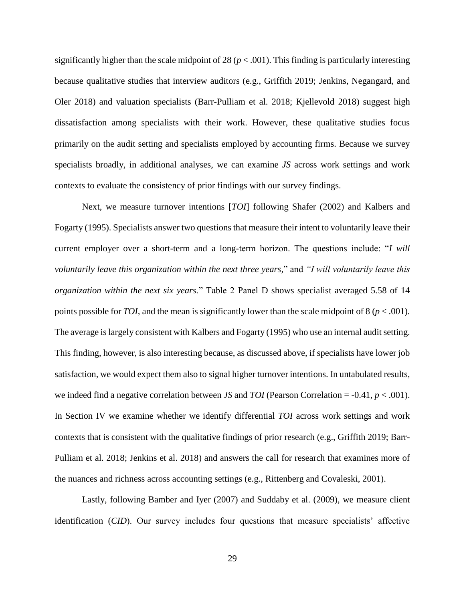significantly higher than the scale midpoint of 28 ( $p < .001$ ). This finding is particularly interesting because qualitative studies that interview auditors (e.g., Griffith 2019; Jenkins, Negangard, and Oler 2018) and valuation specialists (Barr-Pulliam et al. 2018; Kjellevold 2018) suggest high dissatisfaction among specialists with their work. However, these qualitative studies focus primarily on the audit setting and specialists employed by accounting firms. Because we survey specialists broadly, in additional analyses, we can examine *JS* across work settings and work contexts to evaluate the consistency of prior findings with our survey findings.

Next, we measure turnover intentions [*TOI*] following Shafer (2002) and Kalbers and Fogarty (1995). Specialists answer two questions that measure their intent to voluntarily leave their current employer over a short-term and a long-term horizon. The questions include: "*I will voluntarily leave this organization within the next three years,*" and *"I will voluntarily leave this organization within the next six years.*" Table 2 Panel D shows specialist averaged 5.58 of 14 points possible for *TOI*, and the mean is significantly lower than the scale midpoint of  $8 (p < .001)$ . The average is largely consistent with Kalbers and Fogarty (1995) who use an internal audit setting. This finding, however, is also interesting because, as discussed above, if specialists have lower job satisfaction, we would expect them also to signal higher turnover intentions. In untabulated results, we indeed find a negative correlation between *JS* and *TOI* (Pearson Correlation = -0.41, *p* < .001). In Section IV we examine whether we identify differential *TOI* across work settings and work contexts that is consistent with the qualitative findings of prior research (e.g., Griffith 2019; Barr-Pulliam et al. 2018; Jenkins et al. 2018) and answers the call for research that examines more of the nuances and richness across accounting settings (e.g., Rittenberg and Covaleski, 2001).

Lastly, following Bamber and Iyer (2007) and Suddaby et al. (2009), we measure client identification (*CID*). Our survey includes four questions that measure specialists' affective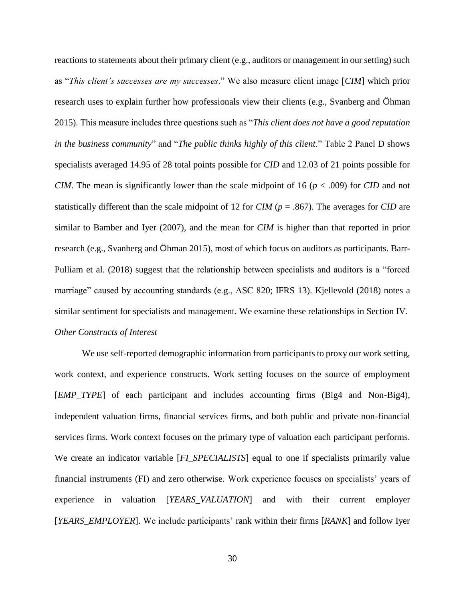reactions to statements about their primary client (e.g., auditors or management in our setting) such as "*This client's successes are my successes*." We also measure client image [*CIM*] which prior research uses to explain further how professionals view their clients (e.g., Svanberg and Öhman 2015). This measure includes three questions such as "*This client does not have a good reputation in the business community*" and "*The public thinks highly of this client*." Table 2 Panel D shows specialists averaged 14.95 of 28 total points possible for *CID* and 12.03 of 21 points possible for *CIM*. The mean is significantly lower than the scale midpoint of 16 ( $p < .009$ ) for *CID* and not statistically different than the scale midpoint of 12 for *CIM* (*p* = .867). The averages for *CID* are similar to Bamber and Iyer (2007), and the mean for *CIM* is higher than that reported in prior research (e.g., Svanberg and Öhman 2015), most of which focus on auditors as participants. Barr-Pulliam et al. (2018) suggest that the relationship between specialists and auditors is a "forced marriage" caused by accounting standards (e.g., ASC 820; IFRS 13). Kjellevold (2018) notes a similar sentiment for specialists and management. We examine these relationships in Section IV. *Other Constructs of Interest*

We use self-reported demographic information from participants to proxy our work setting, work context, and experience constructs. Work setting focuses on the source of employment [*EMP\_TYPE*] of each participant and includes accounting firms (Big4 and Non-Big4), independent valuation firms, financial services firms, and both public and private non-financial services firms. Work context focuses on the primary type of valuation each participant performs. We create an indicator variable [*FI\_SPECIALISTS*] equal to one if specialists primarily value financial instruments (FI) and zero otherwise. Work experience focuses on specialists' years of experience in valuation [*YEARS\_VALUATION*] and with their current employer [*YEARS\_EMPLOYER*]. We include participants' rank within their firms [*RANK*] and follow Iyer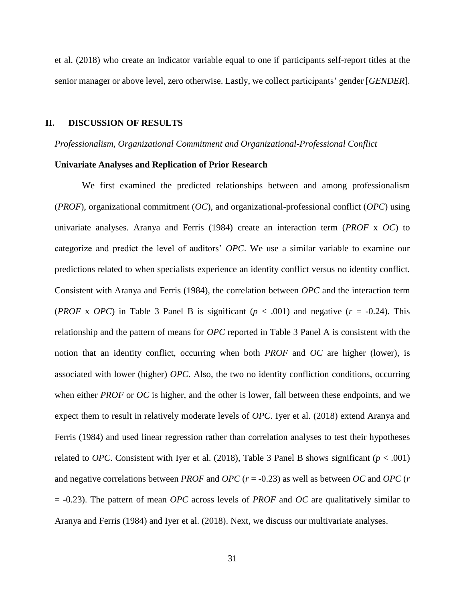et al. (2018) who create an indicator variable equal to one if participants self-report titles at the senior manager or above level, zero otherwise. Lastly, we collect participants' gender [*GENDER*].

### **II. DISCUSSION OF RESULTS**

### *Professionalism, Organizational Commitment and Organizational-Professional Conflict*

### **Univariate Analyses and Replication of Prior Research**

We first examined the predicted relationships between and among professionalism (*PROF*), organizational commitment (*OC*), and organizational-professional conflict (*OPC*) using univariate analyses. Aranya and Ferris (1984) create an interaction term (*PROF* x *OC*) to categorize and predict the level of auditors' *OPC*. We use a similar variable to examine our predictions related to when specialists experience an identity conflict versus no identity conflict. Consistent with Aranya and Ferris (1984), the correlation between *OPC* and the interaction term (*PROF* x *OPC*) in Table 3 Panel B is significant ( $p < .001$ ) and negative ( $r = .0.24$ ). This relationship and the pattern of means for *OPC* reported in Table 3 Panel A is consistent with the notion that an identity conflict, occurring when both *PROF* and *OC* are higher (lower), is associated with lower (higher) *OPC*. Also, the two no identity confliction conditions, occurring when either *PROF* or *OC* is higher, and the other is lower, fall between these endpoints, and we expect them to result in relatively moderate levels of *OPC*. Iyer et al. (2018) extend Aranya and Ferris (1984) and used linear regression rather than correlation analyses to test their hypotheses related to *OPC*. Consistent with Iyer et al. (2018), Table 3 Panel B shows significant ( $p < .001$ ) and negative correlations between *PROF* and *OPC* (*r* = -0.23) as well as between *OC* and *OPC* (*r* = -0.23). The pattern of mean *OPC* across levels of *PROF* and *OC* are qualitatively similar to Aranya and Ferris (1984) and Iyer et al. (2018). Next, we discuss our multivariate analyses.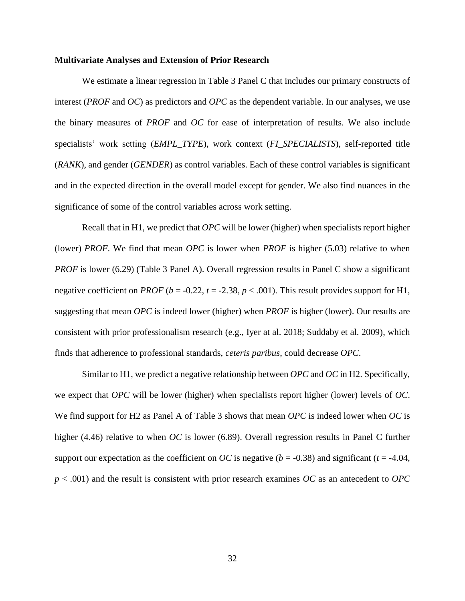### **Multivariate Analyses and Extension of Prior Research**

We estimate a linear regression in Table 3 Panel C that includes our primary constructs of interest (*PROF* and *OC*) as predictors and *OPC* as the dependent variable. In our analyses, we use the binary measures of *PROF* and *OC* for ease of interpretation of results. We also include specialists' work setting (*EMPL\_TYPE*), work context (*FI\_SPECIALISTS*), self-reported title (*RANK*), and gender (*GENDER*) as control variables. Each of these control variables is significant and in the expected direction in the overall model except for gender. We also find nuances in the significance of some of the control variables across work setting.

Recall that in H1, we predict that *OPC* will be lower (higher) when specialists report higher (lower) *PROF*. We find that mean *OPC* is lower when *PROF* is higher (5.03) relative to when *PROF* is lower (6.29) (Table 3 Panel A). Overall regression results in Panel C show a significant negative coefficient on *PROF* ( $b = -0.22$ ,  $t = -2.38$ ,  $p < .001$ ). This result provides support for H1, suggesting that mean *OPC* is indeed lower (higher) when *PROF* is higher (lower). Our results are consistent with prior professionalism research (e.g., Iyer at al. 2018; Suddaby et al. 2009), which finds that adherence to professional standards, *ceteris paribus*, could decrease *OPC*.

Similar to H1, we predict a negative relationship between *OPC* and *OC* in H2. Specifically, we expect that *OPC* will be lower (higher) when specialists report higher (lower) levels of *OC*. We find support for H2 as Panel A of Table 3 shows that mean *OPC* is indeed lower when *OC* is higher (4.46) relative to when *OC* is lower (6.89). Overall regression results in Panel C further support our expectation as the coefficient on *OC* is negative ( $b = -0.38$ ) and significant ( $t = -4.04$ , *p* < .001) and the result is consistent with prior research examines *OC* as an antecedent to *OPC*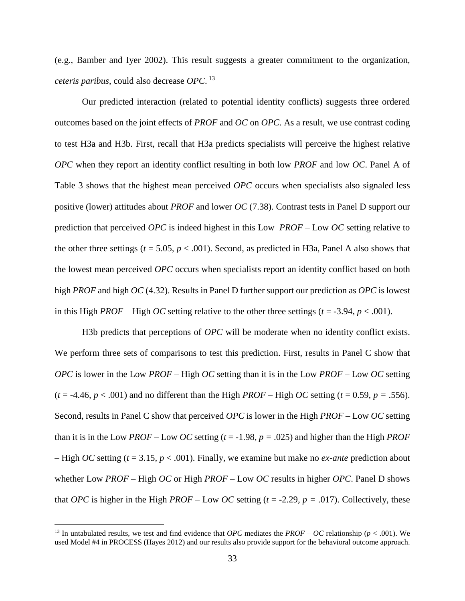(e.g., Bamber and Iyer 2002). This result suggests a greater commitment to the organization, *ceteris paribus*, could also decrease *OPC*. 13

Our predicted interaction (related to potential identity conflicts) suggests three ordered outcomes based on the joint effects of *PROF* and *OC* on *OPC*. As a result, we use contrast coding to test H3a and H3b. First, recall that H3a predicts specialists will perceive the highest relative *OPC* when they report an identity conflict resulting in both low *PROF* and low *OC*. Panel A of Table 3 shows that the highest mean perceived *OPC* occurs when specialists also signaled less positive (lower) attitudes about *PROF* and lower *OC* (7.38). Contrast tests in Panel D support our prediction that perceived *OPC* is indeed highest in this Low *PROF* – Low *OC* setting relative to the other three settings ( $t = 5.05$ ,  $p < .001$ ). Second, as predicted in H3a, Panel A also shows that the lowest mean perceived *OPC* occurs when specialists report an identity conflict based on both high *PROF* and high *OC* (4.32). Results in Panel D further support our prediction as *OPC* is lowest in this High *PROF* – High *OC* setting relative to the other three settings ( $t = -3.94$ ,  $p < .001$ ).

H3b predicts that perceptions of *OPC* will be moderate when no identity conflict exists. We perform three sets of comparisons to test this prediction. First, results in Panel C show that *OPC* is lower in the Low *PROF* – High *OC* setting than it is in the Low *PROF* – Low *OC* setting  $(t = -4.46, p < .001)$  and no different than the High *PROF* – High *OC* setting  $(t = 0.59, p = .556)$ . Second, results in Panel C show that perceived *OPC* is lower in the High *PROF* – Low *OC* setting than it is in the Low *PROF* – Low *OC* setting  $(t = -1.98, p = .025)$  and higher than the High *PROF* – High *OC* setting (*t* = 3.15*, p* < .001). Finally, we examine but make no *ex-ante* prediction about whether Low *PROF* – High *OC* or High *PROF* – Low *OC* results in higher *OPC*. Panel D shows that *OPC* is higher in the High *PROF* – Low *OC* setting ( $t = -2.29$ ,  $p = .017$ ). Collectively, these

<sup>&</sup>lt;sup>13</sup> In untabulated results, we test and find evidence that *OPC* mediates the  $PROF - OC$  relationship ( $p < .001$ ). We used Model #4 in PROCESS (Hayes 2012) and our results also provide support for the behavioral outcome approach.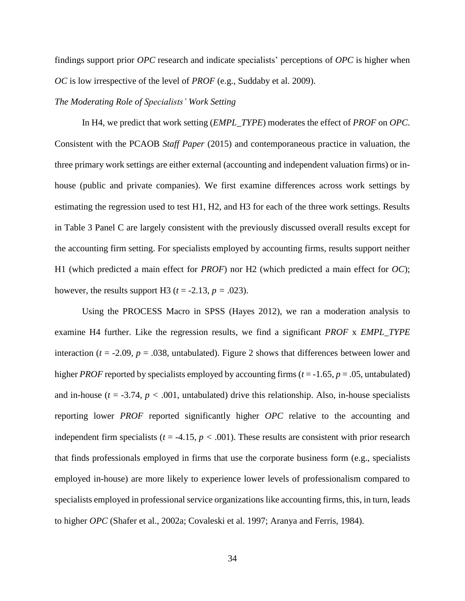findings support prior *OPC* research and indicate specialists' perceptions of *OPC* is higher when *OC* is low irrespective of the level of *PROF* (e.g., Suddaby et al. 2009).

# *The Moderating Role of Specialists' Work Setting*

In H4, we predict that work setting (*EMPL\_TYPE*) moderates the effect of *PROF* on *OPC*. Consistent with the PCAOB *Staff Paper* (2015) and contemporaneous practice in valuation, the three primary work settings are either external (accounting and independent valuation firms) or inhouse (public and private companies). We first examine differences across work settings by estimating the regression used to test H1, H2, and H3 for each of the three work settings. Results in Table 3 Panel C are largely consistent with the previously discussed overall results except for the accounting firm setting. For specialists employed by accounting firms, results support neither H1 (which predicted a main effect for *PROF*) nor H2 (which predicted a main effect for *OC*); however, the results support H3 ( $t = -2.13$ ,  $p = .023$ ).

Using the PROCESS Macro in SPSS (Hayes 2012), we ran a moderation analysis to examine H4 further. Like the regression results, we find a significant *PROF* x *EMPL\_TYPE* interaction ( $t = -2.09$ ,  $p = .038$ , untabulated). Figure 2 shows that differences between lower and higher *PROF* reported by specialists employed by accounting firms (*t* = -1.65*, p* = .05, untabulated) and in-house  $(t = -3.74, p < .001,$  untabulated) drive this relationship. Also, in-house specialists reporting lower *PROF* reported significantly higher *OPC* relative to the accounting and independent firm specialists ( $t = -4.15$ ,  $p < .001$ ). These results are consistent with prior research that finds professionals employed in firms that use the corporate business form (e.g., specialists employed in-house) are more likely to experience lower levels of professionalism compared to specialists employed in professional service organizations like accounting firms, this, in turn, leads to higher *OPC* (Shafer et al., 2002a; Covaleski et al. 1997; Aranya and Ferris, 1984).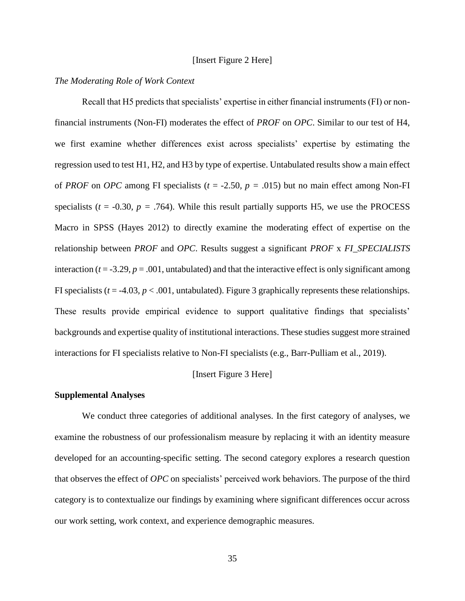## [Insert Figure 2 Here]

## *The Moderating Role of Work Context*

Recall that H5 predicts that specialists' expertise in either financial instruments (FI) or nonfinancial instruments (Non-FI) moderates the effect of *PROF* on *OPC*. Similar to our test of H4, we first examine whether differences exist across specialists' expertise by estimating the regression used to test H1, H2, and H3 by type of expertise. Untabulated results show a main effect of *PROF* on *OPC* among FI specialists ( $t = -2.50$ ,  $p = .015$ ) but no main effect among Non-FI specialists ( $t = -0.30$ ,  $p = .764$ ). While this result partially supports H5, we use the PROCESS Macro in SPSS (Hayes 2012) to directly examine the moderating effect of expertise on the relationship between *PROF* and *OPC*. Results suggest a significant *PROF* x *FI\_SPECIALISTS* interaction ( $t = -3.29$ ,  $p = .001$ , untabulated) and that the interactive effect is only significant among FI specialists ( $t = -4.03$ ,  $p < .001$ , untabulated). Figure 3 graphically represents these relationships. These results provide empirical evidence to support qualitative findings that specialists' backgrounds and expertise quality of institutional interactions. These studies suggest more strained interactions for FI specialists relative to Non-FI specialists (e.g., Barr-Pulliam et al., 2019).

### [Insert Figure 3 Here]

### **Supplemental Analyses**

We conduct three categories of additional analyses. In the first category of analyses, we examine the robustness of our professionalism measure by replacing it with an identity measure developed for an accounting-specific setting. The second category explores a research question that observes the effect of *OPC* on specialists' perceived work behaviors. The purpose of the third category is to contextualize our findings by examining where significant differences occur across our work setting, work context, and experience demographic measures.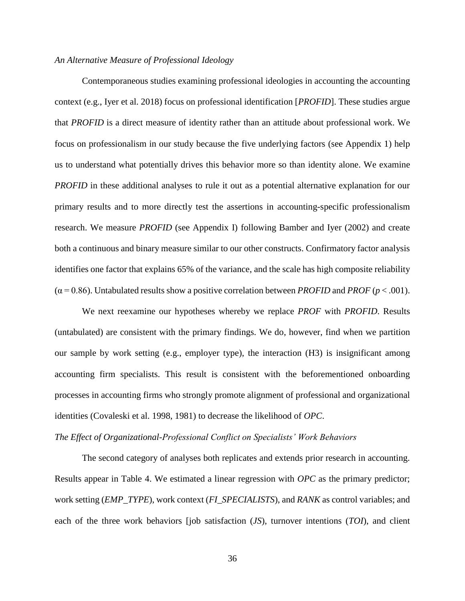## *An Alternative Measure of Professional Ideology*

Contemporaneous studies examining professional ideologies in accounting the accounting context (e.g., Iyer et al. 2018) focus on professional identification [*PROFID*]. These studies argue that *PROFID* is a direct measure of identity rather than an attitude about professional work. We focus on professionalism in our study because the five underlying factors (see Appendix 1) help us to understand what potentially drives this behavior more so than identity alone. We examine *PROFID* in these additional analyses to rule it out as a potential alternative explanation for our primary results and to more directly test the assertions in accounting-specific professionalism research. We measure *PROFID* (see Appendix I) following Bamber and Iyer (2002) and create both a continuous and binary measure similar to our other constructs. Confirmatory factor analysis identifies one factor that explains 65% of the variance, and the scale has high composite reliability  $(\alpha = 0.86)$ . Untabulated results show a positive correlation between *PROFID* and *PROF* ( $p < .001$ ).

We next reexamine our hypotheses whereby we replace *PROF* with *PROFID*. Results (untabulated) are consistent with the primary findings. We do, however, find when we partition our sample by work setting (e.g., employer type), the interaction (H3) is insignificant among accounting firm specialists. This result is consistent with the beforementioned onboarding processes in accounting firms who strongly promote alignment of professional and organizational identities (Covaleski et al. 1998, 1981) to decrease the likelihood of *OPC*.

### *The Effect of Organizational-Professional Conflict on Specialists' Work Behaviors*

The second category of analyses both replicates and extends prior research in accounting. Results appear in Table 4. We estimated a linear regression with *OPC* as the primary predictor; work setting (*EMP\_TYPE*), work context (*FI\_SPECIALISTS*), and *RANK* as control variables; and each of the three work behaviors [job satisfaction (*JS*), turnover intentions (*TOI*), and client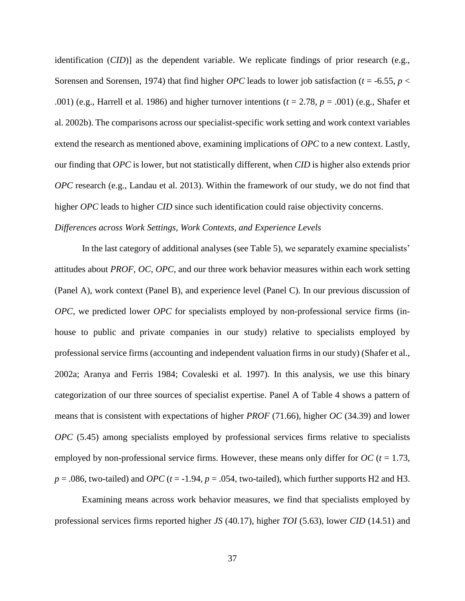identification (*CID*)] as the dependent variable. We replicate findings of prior research (e.g., Sorensen and Sorensen, 1974) that find higher *OPC* leads to lower job satisfaction (*t* = -6.55*, p* < .001) (e.g., Harrell et al. 1986) and higher turnover intentions (*t* = 2.78*, p* = .001) (e.g., Shafer et al. 2002b). The comparisons across our specialist-specific work setting and work context variables extend the research as mentioned above, examining implications of *OPC* to a new context. Lastly, our finding that *OPC* is lower, but not statistically different, when *CID* is higher also extends prior *OPC* research (e.g., Landau et al. 2013). Within the framework of our study, we do not find that higher *OPC* leads to higher *CID* since such identification could raise objectivity concerns. *Differences across Work Settings, Work Contexts, and Experience Levels*

In the last category of additional analyses (see Table 5), we separately examine specialists' attitudes about *PROF*, *OC*, *OPC*, and our three work behavior measures within each work setting (Panel A), work context (Panel B), and experience level (Panel C). In our previous discussion of *OPC*, we predicted lower *OPC* for specialists employed by non-professional service firms (inhouse to public and private companies in our study) relative to specialists employed by professional service firms (accounting and independent valuation firms in our study) (Shafer et al., 2002a; Aranya and Ferris 1984; Covaleski et al. 1997). In this analysis, we use this binary categorization of our three sources of specialist expertise. Panel A of Table 4 shows a pattern of means that is consistent with expectations of higher *PROF* (71.66), higher *OC* (34.39) and lower *OPC* (5.45) among specialists employed by professional services firms relative to specialists employed by non-professional service firms. However, these means only differ for  $OC$  ( $t = 1.73$ ,  $p = 0.086$ , two-tailed) and *OPC* ( $t = -1.94$ ,  $p = 0.054$ , two-tailed), which further supports H2 and H3.

Examining means across work behavior measures, we find that specialists employed by professional services firms reported higher *JS* (40.17), higher *TOI* (5.63), lower *CID* (14.51) and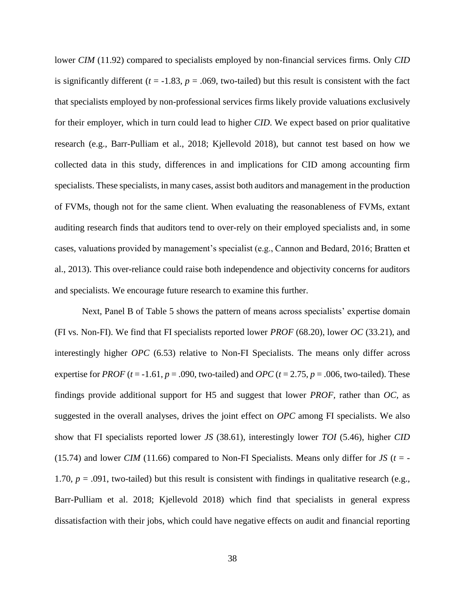lower *CIM* (11.92) compared to specialists employed by non-financial services firms. Only *CID* is significantly different ( $t = -1.83$ ,  $p = .069$ , two-tailed) but this result is consistent with the fact that specialists employed by non-professional services firms likely provide valuations exclusively for their employer, which in turn could lead to higher *CID*. We expect based on prior qualitative research (e.g., Barr-Pulliam et al., 2018; Kjellevold 2018), but cannot test based on how we collected data in this study, differences in and implications for CID among accounting firm specialists. These specialists, in many cases, assist both auditors and management in the production of FVMs, though not for the same client. When evaluating the reasonableness of FVMs, extant auditing research finds that auditors tend to over-rely on their employed specialists and, in some cases, valuations provided by management's specialist (e.g., Cannon and Bedard, 2016; Bratten et al., 2013). This over-reliance could raise both independence and objectivity concerns for auditors and specialists. We encourage future research to examine this further.

Next, Panel B of Table 5 shows the pattern of means across specialists' expertise domain (FI vs. Non-FI). We find that FI specialists reported lower *PROF* (68.20), lower *OC* (33.21), and interestingly higher *OPC* (6.53) relative to Non-FI Specialists. The means only differ across expertise for *PROF* ( $t = -1.61$ ,  $p = .090$ , two-tailed) and *OPC* ( $t = 2.75$ ,  $p = .006$ , two-tailed). These findings provide additional support for H5 and suggest that lower *PROF,* rather than *OC,* as suggested in the overall analyses, drives the joint effect on *OPC* among FI specialists. We also show that FI specialists reported lower *JS* (38.61), interestingly lower *TOI* (5.46), higher *CID* (15.74) and lower *CIM* (11.66) compared to Non-FI Specialists. Means only differ for *JS* ( $t = -$ 1.70,  $p = .091$ , two-tailed) but this result is consistent with findings in qualitative research (e.g., Barr-Pulliam et al. 2018; Kjellevold 2018) which find that specialists in general express dissatisfaction with their jobs, which could have negative effects on audit and financial reporting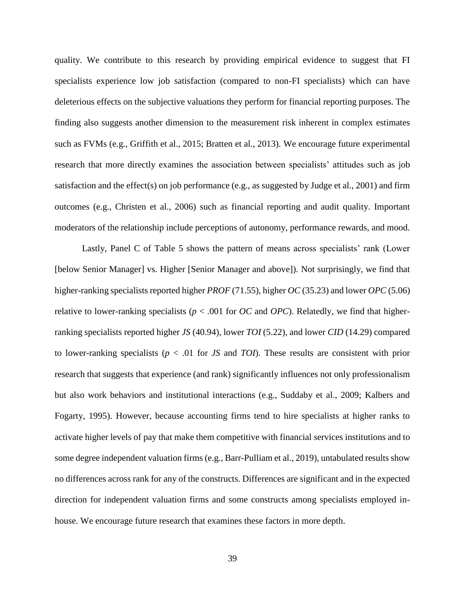quality. We contribute to this research by providing empirical evidence to suggest that FI specialists experience low job satisfaction (compared to non-FI specialists) which can have deleterious effects on the subjective valuations they perform for financial reporting purposes. The finding also suggests another dimension to the measurement risk inherent in complex estimates such as FVMs (e.g., Griffith et al., 2015; Bratten et al., 2013). We encourage future experimental research that more directly examines the association between specialists' attitudes such as job satisfaction and the effect(s) on job performance (e.g., as suggested by Judge et al., 2001) and firm outcomes (e.g., Christen et al., 2006) such as financial reporting and audit quality. Important moderators of the relationship include perceptions of autonomy, performance rewards, and mood.

Lastly, Panel C of Table 5 shows the pattern of means across specialists' rank (Lower [below Senior Manager] vs. Higher [Senior Manager and above]). Not surprisingly, we find that higher-ranking specialists reported higher *PROF* (71.55), higher *OC* (35.23) and lower *OPC* (5.06) relative to lower-ranking specialists ( $p < .001$  for *OC* and *OPC*). Relatedly, we find that higherranking specialists reported higher *JS* (40.94), lower *TOI* (5.22), and lower *CID* (14.29) compared to lower-ranking specialists (*p* < .01 for *JS* and *TOI*). These results are consistent with prior research that suggests that experience (and rank) significantly influences not only professionalism but also work behaviors and institutional interactions (e.g., Suddaby et al., 2009; Kalbers and Fogarty, 1995). However, because accounting firms tend to hire specialists at higher ranks to activate higher levels of pay that make them competitive with financial services institutions and to some degree independent valuation firms (e.g., Barr-Pulliam et al., 2019), untabulated results show no differences across rank for any of the constructs. Differences are significant and in the expected direction for independent valuation firms and some constructs among specialists employed inhouse. We encourage future research that examines these factors in more depth.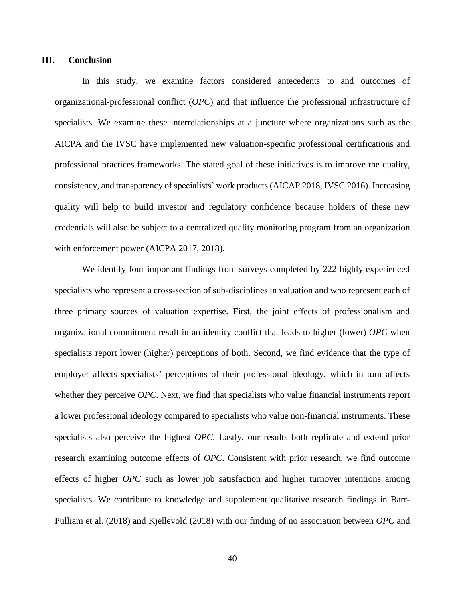### **III. Conclusion**

In this study, we examine factors considered antecedents to and outcomes of organizational-professional conflict (*OPC*) and that influence the professional infrastructure of specialists. We examine these interrelationships at a juncture where organizations such as the AICPA and the IVSC have implemented new valuation-specific professional certifications and professional practices frameworks. The stated goal of these initiatives is to improve the quality, consistency, and transparency of specialists' work products (AICAP 2018, IVSC 2016). Increasing quality will help to build investor and regulatory confidence because holders of these new credentials will also be subject to a centralized quality monitoring program from an organization with enforcement power (AICPA 2017, 2018).

We identify four important findings from surveys completed by 222 highly experienced specialists who represent a cross-section of sub-disciplines in valuation and who represent each of three primary sources of valuation expertise. First, the joint effects of professionalism and organizational commitment result in an identity conflict that leads to higher (lower) *OPC* when specialists report lower (higher) perceptions of both. Second, we find evidence that the type of employer affects specialists' perceptions of their professional ideology, which in turn affects whether they perceive *OPC*. Next, we find that specialists who value financial instruments report a lower professional ideology compared to specialists who value non-financial instruments. These specialists also perceive the highest *OPC*. Lastly, our results both replicate and extend prior research examining outcome effects of *OPC*. Consistent with prior research, we find outcome effects of higher *OPC* such as lower job satisfaction and higher turnover intentions among specialists. We contribute to knowledge and supplement qualitative research findings in Barr-Pulliam et al. (2018) and Kjellevold (2018) with our finding of no association between *OPC* and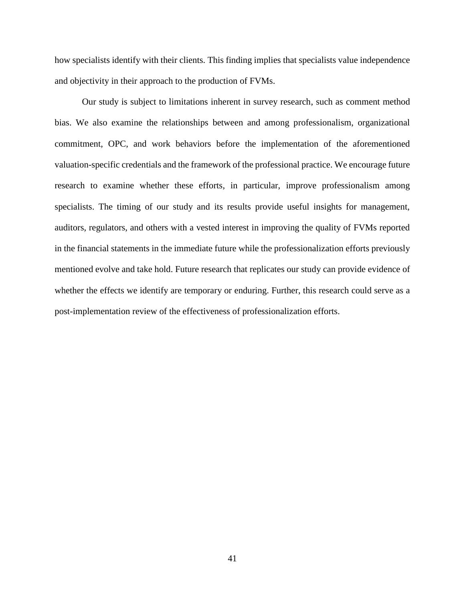how specialists identify with their clients. This finding implies that specialists value independence and objectivity in their approach to the production of FVMs.

Our study is subject to limitations inherent in survey research, such as comment method bias. We also examine the relationships between and among professionalism, organizational commitment, OPC, and work behaviors before the implementation of the aforementioned valuation-specific credentials and the framework of the professional practice. We encourage future research to examine whether these efforts, in particular, improve professionalism among specialists. The timing of our study and its results provide useful insights for management, auditors, regulators, and others with a vested interest in improving the quality of FVMs reported in the financial statements in the immediate future while the professionalization efforts previously mentioned evolve and take hold. Future research that replicates our study can provide evidence of whether the effects we identify are temporary or enduring. Further, this research could serve as a post-implementation review of the effectiveness of professionalization efforts.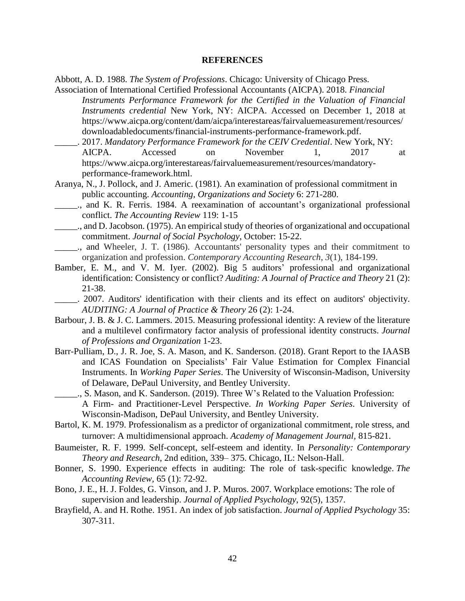### **REFERENCES**

Abbott, A. D. 1988. *The System of Professions*. Chicago: University of Chicago Press.

- Association of International Certified Professional Accountants (AICPA). 2018. *Financial Instruments Performance Framework for the Certified in the Valuation of Financial Instruments credential* New York, NY: AICPA. Accessed on December 1, 2018 at https://www.aicpa.org/content/dam/aicpa/interestareas/fairvaluemeasurement/resources/ downloadabledocuments/financial-instruments-performance-framework.pdf.
- \_\_\_\_\_. 2017. *Mandatory Performance Framework for the CEIV Credential*. New York, NY: AICPA. Accessed on November 1, 2017 at https://www.aicpa.org/interestareas/fairvaluemeasurement/resources/mandatoryperformance-framework.html.
- Aranya, N., J. Pollock, and J. Americ. (1981). An examination of professional commitment in public accounting. *Accounting, Organizations and Society* 6: 271-280.
	- \_\_\_\_\_., and K. R. Ferris. 1984. A reexamination of accountant's organizational professional conflict. *The Accounting Review* 119: 1-15
- \_\_\_\_\_., and D.Jacobson. (1975). An empiricalstudy of theories of organizational and occupational commitment. *Journal of Social Psychology,* October: 15-22.
- \_\_\_\_\_., and Wheeler, J. T. (1986). Accountants' personality types and their commitment to organization and profession. *Contemporary Accounting Research*, *3*(1), 184-199.
- Bamber, E. M., and V. M. Iyer. (2002). Big 5 auditors' professional and organizational identification: Consistency or conflict? *Auditing: A Journal of Practice and Theory* 21 (2): 21-38.
- \_\_\_\_\_. 2007. Auditors' identification with their clients and its effect on auditors' objectivity. *AUDITING: A Journal of Practice & Theory* 26 (2): 1-24.
- Barbour, J. B. & J. C. Lammers. 2015. Measuring professional identity: A review of the literature and a multilevel confirmatory factor analysis of professional identity constructs. *Journal of Professions and Organization* 1-23.
- Barr-Pulliam, D., J. R. Joe, S. A. Mason, and K. Sanderson. (2018). Grant Report to the IAASB and ICAS Foundation on Specialists' Fair Value Estimation for Complex Financial Instruments. In *Working Paper Series*. The University of Wisconsin-Madison, University of Delaware, DePaul University, and Bentley University.
- \_\_\_\_\_., S. Mason, and K. Sanderson. (2019). Three W's Related to the Valuation Profession: A Firm- and Practitioner-Level Perspective. *In Working Paper Series*. University of Wisconsin-Madison, DePaul University, and Bentley University.
- Bartol, K. M. 1979. Professionalism as a predictor of organizational commitment, role stress, and turnover: A multidimensional approach. *Academy of Management Journal,* 815-821.
- Baumeister, R. F. 1999. Self-concept, self-esteem and identity. In *Personality: Contemporary Theory and Research*, 2nd edition, 339– 375. Chicago, IL: Nelson-Hall.
- Bonner, S. 1990. Experience effects in auditing: The role of task-specific knowledge. *The Accounting Review,* 65 (1): 72-92.
- Bono, J. E., H. J. Foldes, G. Vinson, and J. P. Muros. 2007. Workplace emotions: The role of supervision and leadership. *Journal of Applied Psychology*, 92(5), 1357.
- Brayfield, A. and H. Rothe. 1951. An index of job satisfaction. *Journal of Applied Psychology* 35: 307-311.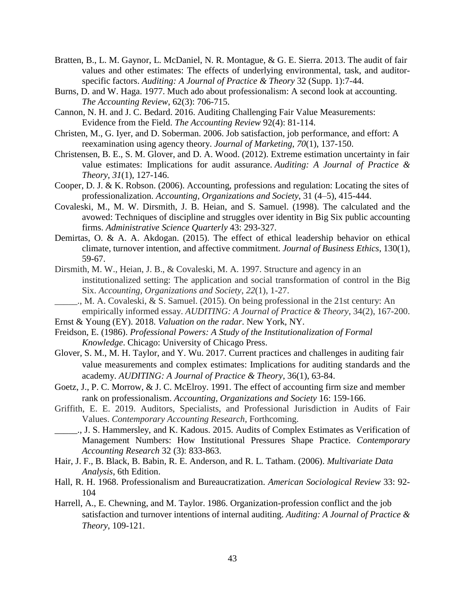- Bratten, B., L. M. Gaynor, L. McDaniel, N. R. Montague, & G. E. Sierra. 2013. The audit of fair values and other estimates: The effects of underlying environmental, task, and auditorspecific factors. *Auditing: A Journal of Practice & Theory* 32 (Supp. 1):7-44.
- Burns, D. and W. Haga. 1977. Much ado about professionalism: A second look at accounting. *The Accounting Review*, 62(3): 706-715.
- Cannon, N. H. and J. C. Bedard. 2016. Auditing Challenging Fair Value Measurements: Evidence from the Field. *The Accounting Review* 92(4): 81-114.
- Christen, M., G. Iyer, and D. Soberman. 2006. Job satisfaction, job performance, and effort: A reexamination using agency theory. *Journal of Marketing*, *70*(1), 137-150.
- Christensen, B. E., S. M. Glover, and D. A. Wood. (2012). Extreme estimation uncertainty in fair value estimates: Implications for audit assurance. *Auditing: A Journal of Practice & Theory*, *31*(1), 127-146.
- Cooper, D. J. & K. Robson. (2006). Accounting, professions and regulation: Locating the sites of professionalization. *Accounting, Organizations and Society*, 31 (4–5), 415-444.
- Covaleski, M., M. W. Dirsmith, J. B. Heian, and S. Samuel. (1998). The calculated and the avowed: Techniques of discipline and struggles over identity in Big Six public accounting firms. *Administrative Science Quarterly* 43: 293-327.
- Demirtas, O. & A. A. Akdogan. (2015). The effect of ethical leadership behavior on ethical climate, turnover intention, and affective commitment. *Journal of Business Ethics*, 130(1), 59-67.
- Dirsmith, M. W., Heian, J. B., & Covaleski, M. A. 1997. Structure and agency in an institutionalized setting: The application and social transformation of control in the Big Six. *Accounting, Organizations and Society*, *22*(1), 1-27.
- \_\_\_\_\_., M. A. Covaleski, & S. Samuel. (2015). On being professional in the 21st century: An empirically informed essay. *AUDITING: A Journal of Practice & Theory*, 34(2), 167-200.
- Ernst & Young (EY). 2018. *Valuation on the radar*. New York, NY.
- Freidson, E. (1986). *Professional Powers: A Study of the Institutionalization of Formal Knowledge*. Chicago: University of Chicago Press.
- Glover, S. M., M. H. Taylor, and Y. Wu. 2017. Current practices and challenges in auditing fair value measurements and complex estimates: Implications for auditing standards and the academy. *AUDITING: A Journal of Practice & Theory*, 36(1), 63-84.
- Goetz, J., P. C. Morrow, & J. C. McElroy. 1991. The effect of accounting firm size and member rank on professionalism. *Accounting, Organizations and Society* 16: 159-166.
- Griffith, E. E. 2019. Auditors, Specialists, and Professional Jurisdiction in Audits of Fair Values. *Contemporary Accounting Research*, Forthcoming.
- \_\_\_\_\_., J. S. Hammersley, and K. Kadous. 2015. Audits of Complex Estimates as Verification of Management Numbers: How Institutional Pressures Shape Practice. *Contemporary Accounting Research* 32 (3): 833-863.
- Hair, J. F., B. Black, B. Babin, R. E. Anderson, and R. L. Tatham. (2006). *Multivariate Data Analysis*, 6th Edition.
- Hall, R. H. 1968. Professionalism and Bureaucratization. *American Sociological Review* 33: 92- 104
- Harrell, A., E. Chewning, and M. Taylor. 1986. Organization-profession conflict and the job satisfaction and turnover intentions of internal auditing. *Auditing: A Journal of Practice & Theory*, 109-121.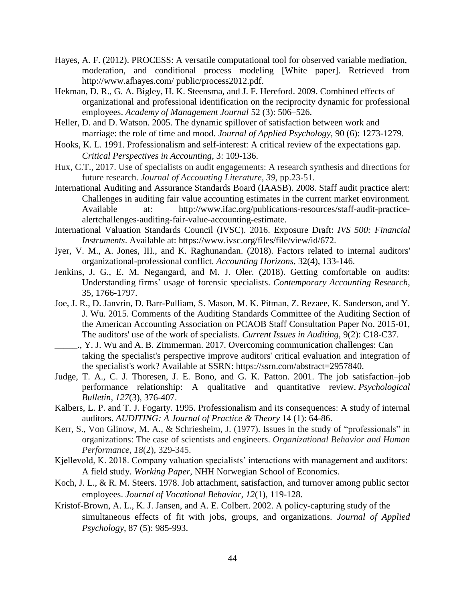- Hayes, A. F. (2012). PROCESS: A versatile computational tool for observed variable mediation, moderation, and conditional process modeling [White paper]. Retrieved from http://www.afhayes.com/ public/process2012.pdf.
- Hekman, D. R., G. A. Bigley, H. K. Steensma, and J. F. Hereford. 2009. Combined effects of organizational and professional identification on the reciprocity dynamic for professional employees. *Academy of Management Journal* 52 (3): 506–526.
- Heller, D. and D. Watson. 2005. The dynamic spillover of satisfaction between work and marriage: the role of time and mood. *Journal of Applied Psychology*, 90 (6): 1273-1279.
- Hooks, K. L. 1991. Professionalism and self-interest: A critical review of the expectations gap. *Critical Perspectives in Accounting*, 3: 109-136.
- Hux, C.T., 2017. Use of specialists on audit engagements: A research synthesis and directions for future research. *Journal of Accounting Literature*, *39*, pp.23-51.
- International Auditing and Assurance Standards Board (IAASB). 2008. Staff audit practice alert: Challenges in auditing fair value accounting estimates in the current market environment. Available at: http://www.ifac.org/publications-resources/staff-audit-practicealertchallenges-auditing-fair-value-accounting-estimate.
- International Valuation Standards Council (IVSC). 2016. Exposure Draft: *IVS 500: Financial Instruments*. Available at: https://www.ivsc.org/files/file/view/id/672.
- Iyer, V. M., A. Jones, III., and K. Raghunandan. (2018). Factors related to internal auditors' organizational-professional conflict. *Accounting Horizons*, 32(4), 133-146.
- Jenkins, J. G., E. M. Negangard, and M. J. Oler. (2018). Getting comfortable on audits: Understanding firms' usage of forensic specialists. *Contemporary Accounting Research*, 35, 1766-1797.
- Joe, J. R., D. Janvrin, D. Barr-Pulliam, S. Mason, M. K. Pitman, Z. Rezaee, K. Sanderson, and Y. J. Wu. 2015. Comments of the Auditing Standards Committee of the Auditing Section of the American Accounting Association on PCAOB Staff Consultation Paper No. 2015-01, The auditors' use of the work of specialists. *Current Issues in Auditing*, 9(2): C18-C37.
- \_\_\_\_\_., Y. J. Wu and A. B. Zimmerman. 2017. Overcoming communication challenges: Can taking the specialist's perspective improve auditors' critical evaluation and integration of the specialist's work? Available at SSRN: https://ssrn.com/abstract=2957840.
- Judge, T. A., C. J. Thoresen, J. E. Bono, and G. K. Patton. 2001. The job satisfaction–job performance relationship: A qualitative and quantitative review. *Psychological Bulletin*, *127*(3), 376-407.
- Kalbers, L. P. and T. J. Fogarty. 1995. Professionalism and its consequences: A study of internal auditors. *AUDITING: A Journal of Practice & Theory* 14 (1): 64-86.
- Kerr, S., Von Glinow, M. A., & Schriesheim, J. (1977). Issues in the study of "professionals" in organizations: The case of scientists and engineers. *Organizational Behavior and Human Performance*, *18*(2), 329-345.
- Kjellevold, K. 2018. Company valuation specialists' interactions with management and auditors: A field study. *Working Paper*, NHH Norwegian School of Economics.
- Koch, J. L., & R. M. Steers. 1978. Job attachment, satisfaction, and turnover among public sector employees. *Journal of Vocational Behavior*, *12*(1), 119-128.
- Kristof-Brown, A. L., K. J. Jansen, and A. E. Colbert. 2002. A policy-capturing study of the simultaneous effects of fit with jobs, groups, and organizations. *Journal of Applied Psychology*, 87 (5): 985-993.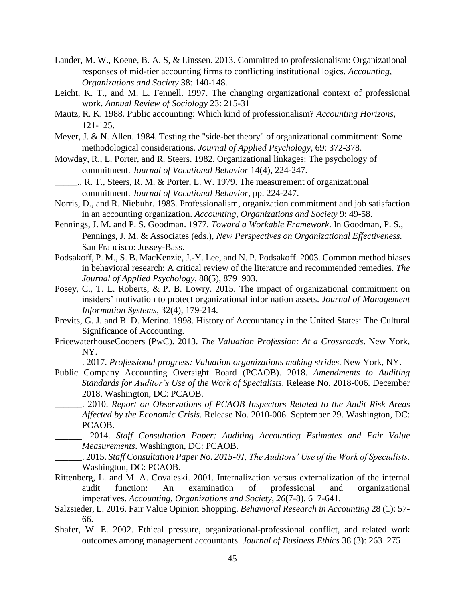- Lander, M. W., Koene, B. A. S, & Linssen. 2013. Committed to professionalism: Organizational responses of mid-tier accounting firms to conflicting institutional logics. *Accounting, Organizations and Society* 38: 140-148.
- Leicht, K. T., and M. L. Fennell. 1997. The changing organizational context of professional work. *Annual Review of Sociology* 23: 215-31
- Mautz, R. K. 1988. Public accounting: Which kind of professionalism? *Accounting Horizons*, 121-125.
- Meyer, J. & N. Allen. 1984. Testing the "side-bet theory" of organizational commitment: Some methodological considerations. *Journal of Applied Psychology*, 69: 372-378.
- Mowday, R., L. Porter, and R. Steers. 1982. Organizational linkages: The psychology of commitment. *Journal of Vocational Behavior* 14(4), 224-247.
- \_\_\_\_\_., R. T., Steers, R. M. & Porter, L. W. 1979. The measurement of organizational commitment. *Journal of Vocational Behavior*, pp. 224-247.
- Norris, D., and R. Niebuhr. 1983. Professionalism, organization commitment and job satisfaction in an accounting organization. *Accounting, Organizations and Society* 9: 49-58.
- Pennings, J. M. and P. S. Goodman. 1977. *Toward a Workable Framework*. In Goodman, P. S., Pennings, J. M. & Associates (eds.), *New Perspectives on Organizational Effectiveness.* San Francisco: Jossey-Bass.
- Podsakoff, P. M., S. B. MacKenzie, J.-Y. Lee, and N. P. Podsakoff. 2003. Common method biases in behavioral research: A critical review of the literature and recommended remedies. *The Journal of Applied Psychology*, 88(5), 879–903.
- Posey, C., T. L. Roberts, & P. B. Lowry. 2015. The impact of organizational commitment on insiders' motivation to protect organizational information assets. *Journal of Management Information Systems*, 32(4), 179-214.
- Previts, G. J. and B. D. Merino. 1998. History of Accountancy in the United States: The Cultural Significance of Accounting.
- PricewaterhouseCoopers (PwC). 2013. *The Valuation Profession: At a Crossroads*. New York, NY.
	- ———. 2017. *Professional progress: Valuation organizations making strides*. New York, NY.
- Public Company Accounting Oversight Board (PCAOB). 2018. *Amendments to Auditing Standards for Auditor's Use of the Work of Specialists*. Release No. 2018-006. December 2018. Washington, DC: PCAOB.
	- \_\_\_\_\_\_. 2010. *Report on Observations of PCAOB Inspectors Related to the Audit Risk Areas Affected by the Economic Crisis.* Release No. 2010-006. September 29. Washington, DC: PCAOB.
	- \_\_\_\_\_\_. 2014. *Staff Consultation Paper: Auditing Accounting Estimates and Fair Value Measurements*. Washington, DC: PCAOB.
	- \_\_\_\_\_\_. 2015. *Staff Consultation Paper No. 2015-01, The Auditors' Use of the Work of Specialists.*  Washington, DC: PCAOB.
- Rittenberg, L. and M. A. Covaleski. 2001. Internalization versus externalization of the internal audit function: An examination of professional and organizational imperatives. *Accounting, Organizations and Society*, *26*(7-8), 617-641.
- Salzsieder, L. 2016. Fair Value Opinion Shopping. *Behavioral Research in Accounting* 28 (1): 57- 66.
- Shafer, W. E. 2002. Ethical pressure, organizational-professional conflict, and related work outcomes among management accountants. *Journal of Business Ethics* 38 (3): 263–275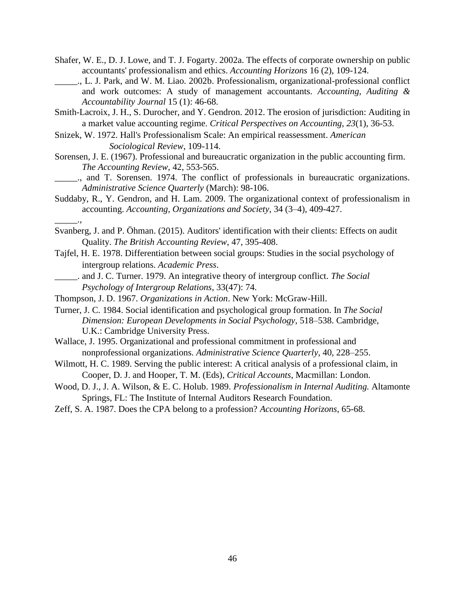- Shafer, W. E., D. J. Lowe, and T. J. Fogarty. 2002a. The effects of corporate ownership on public accountants' professionalism and ethics. *Accounting Horizons* 16 (2), 109-124.
	- \_\_\_\_\_., L. J. Park, and W. M. Liao. 2002b. Professionalism, organizational-professional conflict and work outcomes: A study of management accountants. *Accounting, Auditing & Accountability Journal* 15 (1): 46-68.

Smith-Lacroix, J. H., S. Durocher, and Y. Gendron. 2012. The erosion of jurisdiction: Auditing in a market value accounting regime. *Critical Perspectives on Accounting*, *23*(1), 36-53.

- Snizek, W. 1972. Hall's Professionalism Scale: An empirical reassessment. *American Sociological Review*, 109-114.
- Sorensen, J. E. (1967). Professional and bureaucratic organization in the public accounting firm. *The Accounting Review*, 42, 553-565.
- \_\_\_\_\_., and T. Sorensen. 1974. The conflict of professionals in bureaucratic organizations. *Administrative Science Quarterly* (March): 98-106.
- Suddaby, R., Y. Gendron, and H. Lam. 2009. The organizational context of professionalism in accounting. *Accounting, Organizations and Society*, 34 (3–4), 409-427.
- Svanberg, J. and P. Öhman. (2015). Auditors' identification with their clients: Effects on audit Quality. *The British Accounting Review*, 47, 395-408.
- Tajfel, H. E. 1978. Differentiation between social groups: Studies in the social psychology of intergroup relations. *Academic Press*.
- \_\_\_\_\_. and J. C. Turner. 1979. An integrative theory of intergroup conflict. *The Social Psychology of Intergroup Relations*, 33(47): 74.
- Thompson, J. D. 1967. *Organizations in Action*. New York: McGraw-Hill.

\_\_\_\_\_.,

- Turner, J. C. 1984. Social identification and psychological group formation. In *The Social Dimension: European Developments in Social Psychology*, 518–538. Cambridge, U.K.: Cambridge University Press.
- Wallace, J. 1995. Organizational and professional commitment in professional and nonprofessional organizations. *Administrative Science Quarterly*, 40, 228–255.
- Wilmott, H. C. 1989. Serving the public interest: A critical analysis of a professional claim, in Cooper, D. J. and Hooper, T. M. (Eds), *Critical Accounts*, Macmillan: London.
- Wood, D. J., J. A. Wilson, & E. C. Holub. 1989. *Professionalism in Internal Auditing.* Altamonte Springs, FL: The Institute of Internal Auditors Research Foundation.
- Zeff, S. A. 1987. Does the CPA belong to a profession? *Accounting Horizons*, 65-68.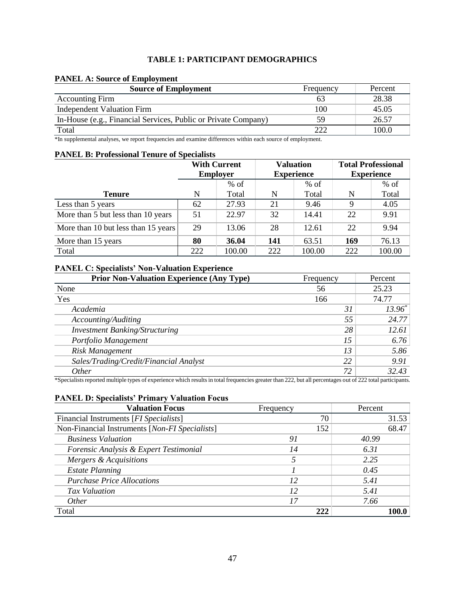## **TABLE 1: PARTICIPANT DEMOGRAPHICS**

### **PANEL A: Source of Employment**

| <b>Source of Employment</b>                                    | Frequency | Percent |
|----------------------------------------------------------------|-----------|---------|
| <b>Accounting Firm</b>                                         | 63        | 28.38   |
| <b>Independent Valuation Firm</b>                              | 100       | 45.05   |
| In-House (e.g., Financial Services, Public or Private Company) | 59        | 26.57   |
| Total                                                          | 222       | 100.0   |

\*In supplemental analyses, we report frequencies and examine differences within each source of employment.

## **PANEL B: Professional Tenure of Specialists**

|                                     | <b>With Current</b><br><b>Employer</b> |        | <b>Valuation</b><br><b>Experience</b> |        | <b>Total Professional</b><br><b>Experience</b> |        |
|-------------------------------------|----------------------------------------|--------|---------------------------------------|--------|------------------------------------------------|--------|
|                                     |                                        | $%$ of |                                       | $%$ of |                                                | $%$ of |
| <b>Tenure</b>                       | N                                      | Total  | N                                     | Total  | N                                              | Total  |
| Less than 5 years                   | 62                                     | 27.93  | 21                                    | 9.46   | 9                                              | 4.05   |
| More than 5 but less than 10 years  | 51                                     | 22.97  | 32                                    | 14.41  | 22                                             | 9.91   |
| More than 10 but less than 15 years | 29                                     | 13.06  | 28                                    | 12.61  | 22                                             | 9.94   |
| More than 15 years                  | 80                                     | 36.04  | 141                                   | 63.51  | 169                                            | 76.13  |
| Total                               | 222                                    | 100.00 | 222                                   | 100.00 | 222                                            | 100.00 |

## **PANEL C: Specialists' Non-Valuation Experience**

| <b>Prior Non-Valuation Experience (Any Type)</b> | Frequency | Percent         |
|--------------------------------------------------|-----------|-----------------|
| None                                             | 56        | 25.23           |
| Yes                                              | 166       | 74.77           |
| Academia                                         | 31        | $13.96^{\circ}$ |
| Accounting/Auditing                              | 55        | 24.77           |
| <b>Investment Banking/Structuring</b>            | 28        | 12.61           |
| Portfolio Management                             | 15        | 6.76            |
| Risk Management                                  | 13        | 5.86            |
| Sales/Trading/Credit/Financial Analyst           | 22        | 9.91            |
| <i>Other</i>                                     | 72        | 32.43           |

\*Specialists reported multiple types of experience which results in total frequencies greater than 222, but all percentages out of 222 total participants.

# **PANEL D: Specialists' Primary Valuation Focus**

| <b>Valuation Focus</b>                          | Frequency | Percent |
|-------------------------------------------------|-----------|---------|
| Financial Instruments [ <i>FI Specialists</i> ] | 70        | 31.53   |
| Non-Financial Instruments [Non-FI Specialists]  | 152       | 68.47   |
| <b>Business Valuation</b>                       | 91        | 40.99   |
| Forensic Analysis & Expert Testimonial          | 14        | 6.31    |
| Mergers & Acquisitions                          |           | 2.25    |
| <b>Estate Planning</b>                          |           | 0.45    |
| <b>Purchase Price Allocations</b>               | 12        | 5.41    |
| Tax Valuation                                   | 12        | 5.41    |
| <i>Other</i>                                    | 17        | 7.66    |
| Total                                           | 222       |         |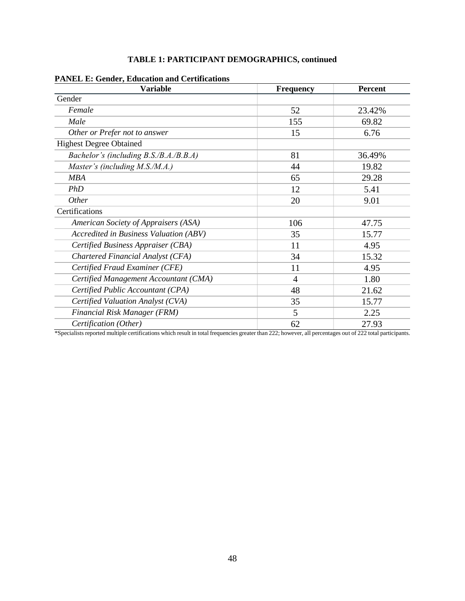| <b>Variable</b>                        | Frequency      | <b>Percent</b> |  |
|----------------------------------------|----------------|----------------|--|
| Gender                                 |                |                |  |
| Female                                 | 52             | 23.42%         |  |
| Male                                   | 155            | 69.82          |  |
| Other or Prefer not to answer          | 15             | 6.76           |  |
| <b>Highest Degree Obtained</b>         |                |                |  |
| Bachelor's (including B.S./B.A./B.B.A) | 81             | 36.49%         |  |
| Master's (including M.S./M.A.)         | 44             | 19.82          |  |
| <b>MBA</b>                             | 65             | 29.28          |  |
| PhD                                    | 12             | 5.41           |  |
| Other                                  | 20             | 9.01           |  |
| Certifications                         |                |                |  |
| American Society of Appraisers (ASA)   | 106            | 47.75          |  |
| Accredited in Business Valuation (ABV) | 35             | 15.77          |  |
| Certified Business Appraiser (CBA)     | 11             | 4.95           |  |
| Chartered Financial Analyst (CFA)      | 34             | 15.32          |  |
| Certified Fraud Examiner (CFE)         | 11             | 4.95           |  |
| Certified Management Accountant (CMA)  | $\overline{4}$ | 1.80           |  |
| Certified Public Accountant (CPA)      | 48             | 21.62          |  |
| Certified Valuation Analyst (CVA)      | 35             | 15.77          |  |
| Financial Risk Manager (FRM)           | 5              | 2.25           |  |
| Certification (Other)                  | 62             | 27.93          |  |

# **TABLE 1: PARTICIPANT DEMOGRAPHICS, continued**

**PANEL E: Gender, Education and Certifications**

\*Specialists reported multiple certifications which result in total frequencies greater than 222; however, all percentages out of 222 total participants.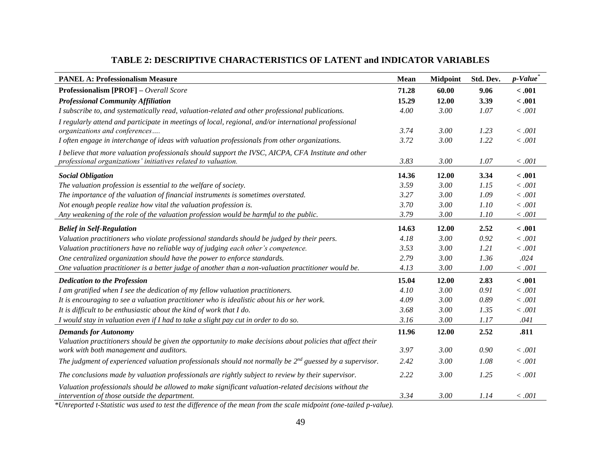| <b>PANEL A: Professionalism Measure</b>                                                                                                                | Mean  | <b>Midpoint</b> | Std. Dev. | p-Value |
|--------------------------------------------------------------------------------------------------------------------------------------------------------|-------|-----------------|-----------|---------|
| <b>Professionalism [PROF]</b> - Overall Score                                                                                                          | 71.28 | 60.00           | 9.06      | $-.001$ |
| <b>Professional Community Affiliation</b>                                                                                                              | 15.29 | 12.00           | 3.39      | < .001  |
| I subscribe to, and systematically read, valuation-related and other professional publications.                                                        | 4.00  | 3.00            | 1.07      | < .001  |
| I regularly attend and participate in meetings of local, regional, and/or international professional                                                   |       |                 |           |         |
| organizations and conferences                                                                                                                          | 3.74  | 3.00            | 1.23      | < .001  |
| I often engage in interchange of ideas with valuation professionals from other organizations.                                                          | 3.72  | 3.00            | 1.22      | $<.001$ |
| I believe that more valuation professionals should support the IVSC, AICPA, CFA Institute and other                                                    |       |                 |           |         |
| professional organizations' initiatives related to valuation.                                                                                          | 3.83  | 3.00            | 1.07      | < .001  |
| <b>Social Obligation</b>                                                                                                                               | 14.36 | 12.00           | 3.34      | $-.001$ |
| The valuation profession is essential to the welfare of society.                                                                                       | 3.59  | 3.00            | 1.15      | < .001  |
| The importance of the valuation of financial instruments is sometimes overstated.                                                                      | 3.27  | 3.00            | 1.09      | $<.001$ |
| Not enough people realize how vital the valuation profession is.                                                                                       | 3.70  | 3.00            | 1.10      | < .001  |
| Any weakening of the role of the valuation profession would be harmful to the public.                                                                  | 3.79  | 3.00            | 1.10      | $-.001$ |
| <b>Belief in Self-Regulation</b>                                                                                                                       | 14.63 | 12.00           | 2.52      | < .001  |
| Valuation practitioners who violate professional standards should be judged by their peers.                                                            | 4.18  | 3.00            | 0.92      | < .001  |
| Valuation practitioners have no reliable way of judging each other's competence.                                                                       | 3.53  | 3.00            | 1.21      | < .001  |
| One centralized organization should have the power to enforce standards.                                                                               | 2.79  | 3.00            | 1.36      | .024    |
| One valuation practitioner is a better judge of another than a non-valuation practitioner would be.                                                    | 4.13  | 3.00            | 1.00      | < .001  |
| <b>Dedication to the Profession</b>                                                                                                                    | 15.04 | 12.00           | 2.83      | $-.001$ |
| I am gratified when I see the dedication of my fellow valuation practitioners.                                                                         | 4.10  | 3.00            | 0.91      | < .001  |
| It is encouraging to see a valuation practitioner who is idealistic about his or her work.                                                             | 4.09  | 3.00            | 0.89      | < .001  |
| It is difficult to be enthusiastic about the kind of work that I do.                                                                                   | 3.68  | 3.00            | 1.35      | < .001  |
| I would stay in valuation even if I had to take a slight pay cut in order to do so.                                                                    | 3.16  | 3.00            | 1.17      | .041    |
| <b>Demands for Autonomy</b>                                                                                                                            | 11.96 | 12.00           | 2.52      | .811    |
| Valuation practitioners should be given the opportunity to make decisions about policies that affect their                                             |       |                 |           |         |
| work with both management and auditors.                                                                                                                | 3.97  | 3.00            | 0.90      | < .001  |
| The judgment of experienced valuation professionals should not normally be $2^{nd}$ guessed by a supervisor.                                           | 2.42  | 3.00            | 1.08      | < .001  |
| The conclusions made by valuation professionals are rightly subject to review by their supervisor.                                                     | 2.22  | 3.00            | 1.25      | < .001  |
| Valuation professionals should be allowed to make significant valuation-related decisions without the<br>intervention of those outside the department. | 3.34  | 3.00            | 1.14      | $-.001$ |

# **TABLE 2: DESCRIPTIVE CHARACTERISTICS OF LATENT and INDICATOR VARIABLES**

*\*Unreported t-Statistic was used to test the difference of the mean from the scale midpoint (one-tailed p-value).*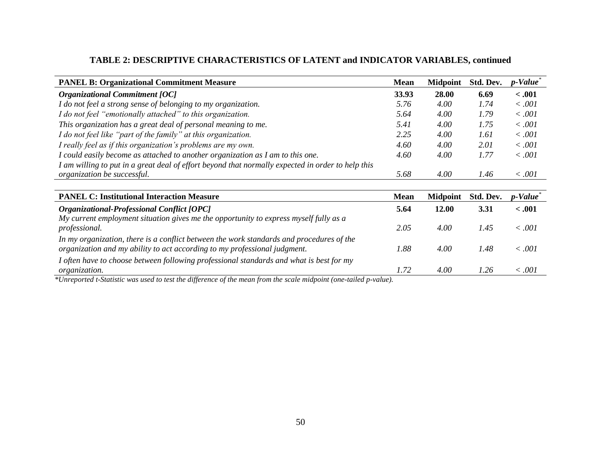| <b>PANEL B: Organizational Commitment Measure</b>                                                                                                                                                                                                                              | <b>Mean</b> | <b>Midpoint</b> | Std. Dev. | p-Value |
|--------------------------------------------------------------------------------------------------------------------------------------------------------------------------------------------------------------------------------------------------------------------------------|-------------|-----------------|-----------|---------|
| <b>Organizational Commitment [OC]</b>                                                                                                                                                                                                                                          | 33.93       | 28.00           | 6.69      | $-.001$ |
| I do not feel a strong sense of belonging to my organization.                                                                                                                                                                                                                  | 5.76        | 4.00            | 1.74      | <.001   |
| I do not feel "emotionally attached" to this organization.                                                                                                                                                                                                                     | 5.64        | 4.00            | 1.79      | <.001   |
| This organization has a great deal of personal meaning to me.                                                                                                                                                                                                                  | 5.41        | 4.00            | 1.75      | <.001   |
| I do not feel like "part of the family" at this organization.                                                                                                                                                                                                                  | 2.25        | 4.00            | 1.61      | <.001   |
| I really feel as if this organization's problems are my own.                                                                                                                                                                                                                   | 4.60        | 4.00            | 2.01      | <.001   |
| I could easily become as attached to another organization as I am to this one.                                                                                                                                                                                                 | 4.60        | 4.00            | 1.77      | <.001   |
| I am willing to put in a great deal of effort beyond that normally expected in order to help this                                                                                                                                                                              |             |                 |           |         |
| organization be successful.                                                                                                                                                                                                                                                    | 5.68        | 4.00            | 1.46      | < .001  |
|                                                                                                                                                                                                                                                                                |             |                 |           |         |
| <b>PANEL C: Institutional Interaction Measure</b>                                                                                                                                                                                                                              | <b>Mean</b> | <b>Midpoint</b> | Std. Dev. | p-Value |
| <b>Organizational-Professional Conflict [OPC]</b>                                                                                                                                                                                                                              | 5.64        | 12.00           | 3.31      | $-.001$ |
| My current employment situation gives me the opportunity to express myself fully as a<br>professional.                                                                                                                                                                         | 2.05        | 4.00            | 1.45      | < .001  |
| In my organization, there is a conflict between the work standards and procedures of the<br>organization and my ability to act according to my professional judgment.                                                                                                          | 1.88        | 4.00            | 1.48      | <.001   |
| I often have to choose between following professional standards and what is best for my<br>organization.<br>$\mathcal{L}$ $\mathcal{L}$<br>$\mathbf{r}$ . The set of $\mathbf{r}$<br>$\mathbf{1}$ $\mathbf{1}$ $\mathbf{1}$ $\mathbf{0}$<br>$\sim$<br>$\mathbf{r}$<br>$\cdots$ | 1.72        | 4.00            | 1.26      | <.001   |

# **TABLE 2: DESCRIPTIVE CHARACTERISTICS OF LATENT and INDICATOR VARIABLES, continued**

*\*Unreported t-Statistic was used to test the difference of the mean from the scale midpoint (one-tailed p-value).*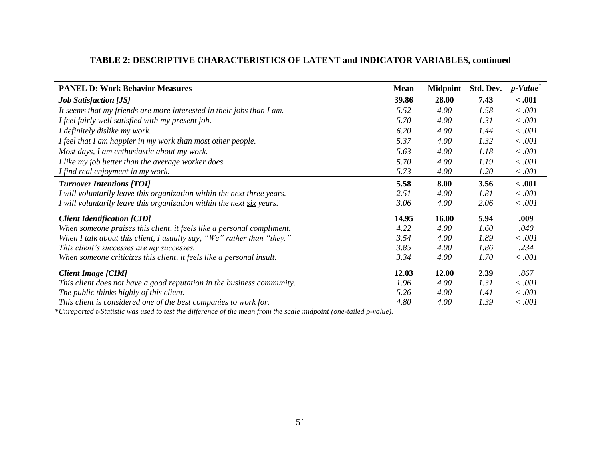| TABLE 2: DESCRIPTIVE CHARACTERISTICS OF LATENT and INDICATOR VARIABLES, continued |  |
|-----------------------------------------------------------------------------------|--|
|-----------------------------------------------------------------------------------|--|

| <b>PANEL D: Work Behavior Measures</b>                                  | <b>Mean</b> | <b>Midpoint</b> | Std. Dev. | $p$ -Value <sup>*</sup> |
|-------------------------------------------------------------------------|-------------|-----------------|-----------|-------------------------|
| <b>Job Satisfaction [JS]</b>                                            | 39.86       | 28.00           | 7.43      | $-.001$                 |
| It seems that my friends are more interested in their jobs than I am.   | 5.52        | 4.00            | 1.58      | < .001                  |
| I feel fairly well satisfied with my present job.                       | 5.70        | 4.00            | 1.31      | < .001                  |
| I definitely dislike my work.                                           | 6.20        | 4.00            | 1.44      | < .001                  |
| I feel that I am happier in my work than most other people.             | 5.37        | 4.00            | 1.32      | < .001                  |
| Most days, I am enthusiastic about my work.                             | 5.63        | 4.00            | 1.18      | < .001                  |
| I like my job better than the average worker does.                      | 5.70        | 4.00            | 1.19      | < .001                  |
| I find real enjoyment in my work.                                       | 5.73        | 4.00            | 1.20      | < .001                  |
| <b>Turnover Intentions [TOI]</b>                                        | 5.58        | 8.00            | 3.56      | $-.001$                 |
| I will voluntarily leave this organization within the next three years. | 2.51        | 4.00            | 1.81      | < .001                  |
| I will voluntarily leave this organization within the next six years.   | 3.06        | 4.00            | 2.06      | < .001                  |
| <b>Client Identification [CID]</b>                                      | 14.95       | 16.00           | 5.94      | .009                    |
| When someone praises this client, it feels like a personal compliment.  | 4.22        | 4.00            | 1.60      | .040                    |
| When I talk about this client, I usually say, "We" rather than "they."  | 3.54        | 4.00            | 1.89      | < .001                  |
| This client's successes are my successes.                               | 3.85        | 4.00            | 1.86      | .234                    |
| When someone criticizes this client, it feels like a personal insult.   | 3.34        | 4.00            | 1.70      | < .001                  |
| Client Image [CIM]                                                      | 12.03       | 12.00           | 2.39      | .867                    |
| This client does not have a good reputation in the business community.  | 1.96        | 4.00            | 1.31      | < .001                  |
| The public thinks highly of this client.                                | 5.26        | 4.00            | 1.41      | < .001                  |
| This client is considered one of the best companies to work for.        | 4.80        | 4.00            | 1.39      | < .001                  |

*\*Unreported t-Statistic was used to test the difference of the mean from the scale midpoint (one-tailed p-value).*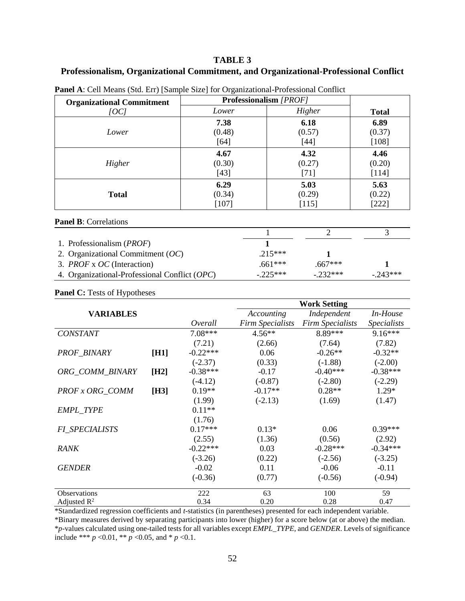# **TABLE 3**

# **Professionalism, Organizational Commitment, and Organizational-Professional Conflict**

| <b>Organizational Commitment</b> | Professionalism [PROF] |        |              |
|----------------------------------|------------------------|--------|--------------|
| [OC]                             | Lower                  | Higher | <b>Total</b> |
|                                  | 7.38                   | 6.18   | 6.89         |
| Lower                            | (0.48)                 | (0.57) | (0.37)       |
|                                  | $[64]$                 | $[44]$ | $[108]$      |
|                                  | 4.67                   | 4.32   | 4.46         |
| Higher                           | (0.30)                 | (0.27) | (0.20)       |
|                                  | $[43]$                 | $[71]$ | $[114]$      |
|                                  | 6.29                   | 5.03   | 5.63         |
| <b>Total</b>                     | (0.34)                 | (0.29) | (0.22)       |
|                                  | [107]                  | [115]  | $[222]$      |
|                                  |                        |        |              |

**Panel A**: Cell Means (Std. Err) [Sample Size] for Organizational-Professional Conflict

### **Panel B**: Correlations

| 1. Professionalism ( <i>PROF</i> )            |           |           |           |
|-----------------------------------------------|-----------|-----------|-----------|
| 2. Organizational Commitment $(OC)$           | $215***$  |           |           |
| 3. <i>PROF</i> x <i>OC</i> (Interaction)      | $.661***$ | $.667***$ |           |
| 4. Organizational-Professional Conflict (OPC) | $-225***$ | $-232***$ | $-243***$ |

### Panel C: Tests of Hypotheses

|                       |      |            | <b>Work Setting</b>     |                         |                    |  |
|-----------------------|------|------------|-------------------------|-------------------------|--------------------|--|
| <b>VARIABLES</b>      |      |            | Accounting              | Independent             | In-House           |  |
|                       |      | Overall    | <b>Firm Specialists</b> | <b>Firm Specialists</b> | <b>Specialists</b> |  |
| <b>CONSTANT</b>       |      | $7.08***$  | $4.56**$                | 8.89***                 | $9.16***$          |  |
|                       |      | (7.21)     | (2.66)                  | (7.64)                  | (7.82)             |  |
| PROF_BINARY           | [H1] | $-0.22***$ | 0.06                    | $-0.26**$               | $-0.32**$          |  |
|                       |      | $(-2.37)$  | (0.33)                  | $(-1.88)$               | $(-2.00)$          |  |
| ORG_COMM_BINARY       | [H2] | $-0.38***$ | $-0.17$                 | $-0.40***$              | $-0.38***$         |  |
|                       |      | $(-4.12)$  | $(-0.87)$               | $(-2.80)$               | $(-2.29)$          |  |
| PROF x ORG COMM       | [H3] | $0.19**$   | $-0.17**$               | $0.28**$                | $1.29*$            |  |
|                       |      | (1.99)     | $(-2.13)$               | (1.69)                  | (1.47)             |  |
| <b>EMPL TYPE</b>      |      | $0.11**$   |                         |                         |                    |  |
|                       |      | (1.76)     |                         |                         |                    |  |
| <b>FI SPECIALISTS</b> |      | $0.17***$  | $0.13*$                 | 0.06                    | $0.39***$          |  |
|                       |      | (2.55)     | (1.36)                  | (0.56)                  | (2.92)             |  |
| <b>RANK</b>           |      | $-0.22***$ | 0.03                    | $-0.28***$              | $-0.34***$         |  |
|                       |      | $(-3.26)$  | (0.22)                  | $(-2.56)$               | $(-3.25)$          |  |
| <b>GENDER</b>         |      | $-0.02$    | 0.11                    | $-0.06$                 | $-0.11$            |  |
|                       |      | $(-0.36)$  | (0.77)                  | $(-0.56)$               | $(-0.94)$          |  |
| Observations          |      | 222        | 63                      | 100                     | 59                 |  |
| Adjusted $R^2$        |      | 0.34       | 0.20                    | 0.28                    | 0.47               |  |

\*Standardized regression coefficients and *t*-statistics (in parentheses) presented for each independent variable.

\*Binary measures derived by separating participants into lower (higher) for a score below (at or above) the median. \**p*-values calculated using one-tailed tests for all variables except *EMPL\_TYPE,* and *GENDER*. Levels of significance include \*\*\* *p* <0.01, \*\* *p* <0.05, and \* *p* <0.1.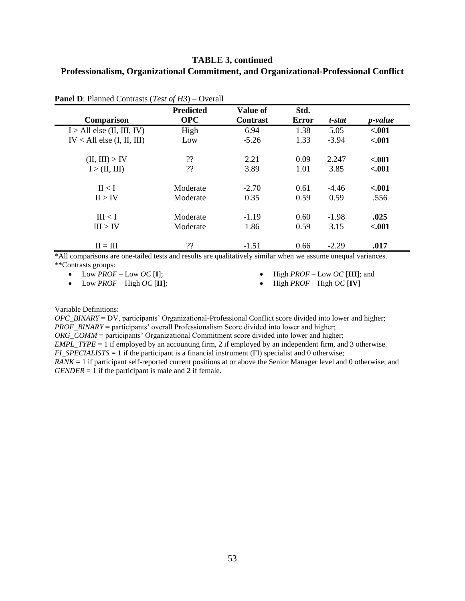# **TABLE 3, continued Professionalism, Organizational Commitment, and Organizational-Professional Conflict**

| Comparison                     | <b>Predicted</b><br><b>OPC</b> | Value of<br><b>Contrast</b> | Std.<br><b>Error</b> | t-stat  | <i>p</i> -value |
|--------------------------------|--------------------------------|-----------------------------|----------------------|---------|-----------------|
| I > All else (II, III, IV)     | High                           | 6.94                        | 1.38                 | 5.05    | $-.001$         |
| $IV < All$ else $(I, II, III)$ | Low                            | $-5.26$                     | 1.33                 | $-3.94$ | $-.001$         |
| (II, III) > IV                 | ??                             | 2.21                        | 0.09                 | 2.247   | $-.001$         |
| I > (II, III)                  | ??                             | 3.89                        | 1.01                 | 3.85    | $-.001$         |
| II < I                         | Moderate                       | $-2.70$                     | 0.61                 | $-4.46$ | $-.001$         |
| II > IV                        | Moderate                       | 0.35                        | 0.59                 | 0.59    | .556            |
| III < I                        | Moderate                       | $-1.19$                     | 0.60                 | $-1.98$ | .025            |
| III > IV                       | Moderate                       | 1.86                        | 0.59                 | 3.15    | $-.001$         |
| $II = III$                     | ??                             | $-1.51$                     | 0.66                 | $-2.29$ | .017            |

**Panel D**: Planned Contrasts (*Test of H3*) – Overall

\*All comparisons are one-tailed tests and results are qualitatively similar when we assume unequal variances. \*\*Contrasts groups:

• Low  $PROF$  – Low  $OC$  [**I**];

 $\bullet$  Low *PROF* – High *OC* [II];

 $\bullet$  High *PROF* – Low *OC* [III]; and

 $\bullet$  High *PROF* – High *OC* [IV]

Variable Definitions:

*OPC\_BINARY* = DV, participants' Organizational-Professional Conflict score divided into lower and higher; *PROF\_BINARY* = participants' overall Professionalism Score divided into lower and higher;

*ORG\_COMM* = participants' Organizational Commitment score divided into lower and higher;

*EMPL\_TYPE* = 1 if employed by an accounting firm, 2 if employed by an independent firm, and 3 otherwise. *FI\_SPECIALISTS* = 1 if the participant is a financial instrument (FI) specialist and 0 otherwise;

*RANK* = 1 if participant self-reported current positions at or above the Senior Manager level and 0 otherwise; and *GENDER* = 1 if the participant is male and 2 if female.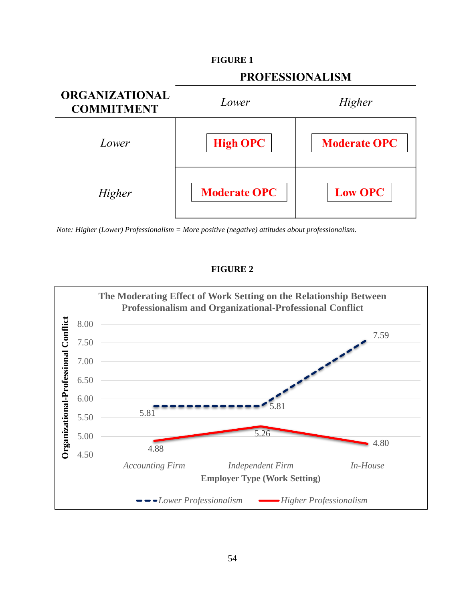

*Note: Higher (Lower) Professionalism = More positive (negative) attitudes about professionalism.*

# **FIGURE 2**

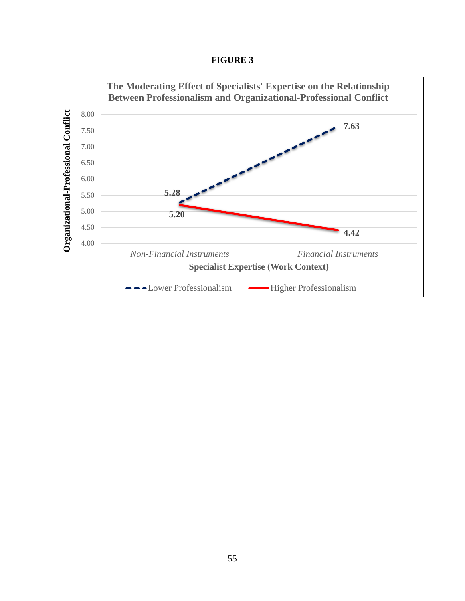**FIGURE 3**

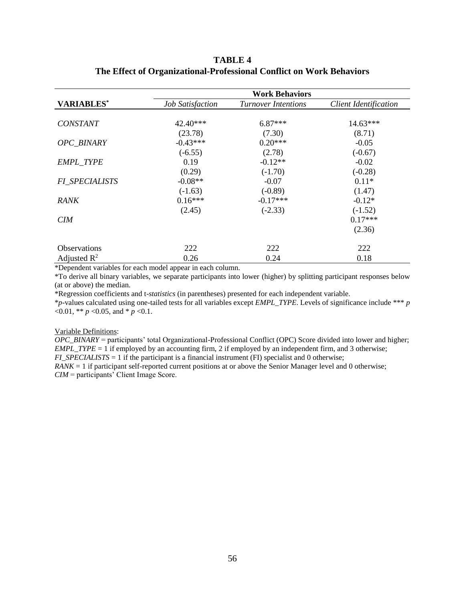# **TABLE 4 The Effect of Organizational-Professional Conflict on Work Behaviors**

|                         | <b>Work Behaviors</b>   |                            |                              |  |  |  |  |
|-------------------------|-------------------------|----------------------------|------------------------------|--|--|--|--|
| <b>VARIABLES*</b>       | <b>Job Satisfaction</b> | <b>Turnover Intentions</b> | <b>Client Identification</b> |  |  |  |  |
|                         |                         |                            |                              |  |  |  |  |
| <b>CONSTANT</b>         | $42.40***$              | $6.87***$                  | 14.63***                     |  |  |  |  |
|                         | (23.78)                 | (7.30)                     | (8.71)                       |  |  |  |  |
| <b>OPC BINARY</b>       | $-0.43***$              | $0.20***$                  | $-0.05$                      |  |  |  |  |
|                         | $(-6.55)$               | (2.78)                     | $(-0.67)$                    |  |  |  |  |
| EMPL_TYPE               | 0.19                    | $-0.12**$                  | $-0.02$                      |  |  |  |  |
|                         | (0.29)                  | $(-1.70)$                  | $(-0.28)$                    |  |  |  |  |
| <b>FI SPECIALISTS</b>   | $-0.08**$               | $-0.07$                    | $0.11*$                      |  |  |  |  |
|                         | $(-1.63)$               | $(-0.89)$                  | (1.47)                       |  |  |  |  |
| RANK                    | $0.16***$               | $-0.17***$                 | $-0.12*$                     |  |  |  |  |
|                         | (2.45)                  | $(-2.33)$                  | $(-1.52)$                    |  |  |  |  |
| CIM                     |                         |                            | $0.17***$                    |  |  |  |  |
|                         |                         |                            | (2.36)                       |  |  |  |  |
| <b>Observations</b>     | 222                     | 222                        | 222                          |  |  |  |  |
| Adjusted $\mathbb{R}^2$ | 0.26                    | 0.24                       | 0.18                         |  |  |  |  |

\*Dependent variables for each model appear in each column.

\*To derive all binary variables, we separate participants into lower (higher) by splitting participant responses below (at or above) the median.

\*Regression coefficients and t-*statistics* (in parentheses) presented for each independent variable.

\**p*-values calculated using one-tailed tests for all variables except *EMPL\_TYPE*. Levels of significance include \*\*\* *p*  $< 0.01, ** p < 0.05,$  and  $* p < 0.1$ .

#### Variable Definitions:

*OPC\_BINARY* = participants' total Organizational-Professional Conflict (OPC) Score divided into lower and higher; *EMPL\_TYPE* = 1 if employed by an accounting firm, 2 if employed by an independent firm, and 3 otherwise; *FI\_SPECIALISTS* = 1 if the participant is a financial instrument (FI) specialist and 0 otherwise;

*RANK* = 1 if participant self-reported current positions at or above the Senior Manager level and 0 otherwise; *CIM* = participants' Client Image Score.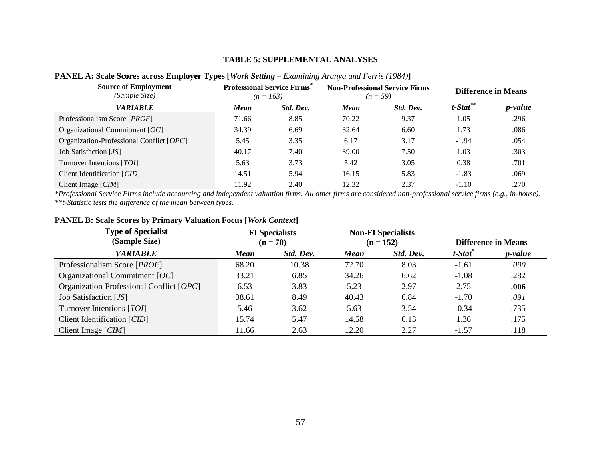## **TABLE 5: SUPPLEMENTAL ANALYSES**

| <b>Source of Employment</b><br>(Sample Size) | <b>Professional Service Firms</b><br>$(n = 163)$ |           |             | <b>Non-Professional Service Firms</b><br>$(n = 59)$ | <b>Difference in Means</b> |                 |
|----------------------------------------------|--------------------------------------------------|-----------|-------------|-----------------------------------------------------|----------------------------|-----------------|
| <b>VARIABLE</b>                              | Mean                                             | Std. Dev. | <b>Mean</b> | Std. Dev.                                           | $t$ -Stat <sup>**</sup>    | <i>p</i> -value |
| Professionalism Score [ <i>PROF</i> ]        | 71.66                                            | 8.85      | 70.22       | 9.37                                                | 1.05                       | .296            |
| Organizational Commitment $[OC]$             | 34.39                                            | 6.69      | 32.64       | 6.60                                                | 1.73                       | .086            |
| Organization-Professional Conflict [OPC]     | 5.45                                             | 3.35      | 6.17        | 3.17                                                | $-1.94$                    | .054            |
| Job Satisfaction [JS]                        | 40.17                                            | 7.40      | 39.00       | 7.50                                                | 1.03                       | .303            |
| Turnover Intentions [TOI]                    | 5.63                                             | 3.73      | 5.42        | 3.05                                                | 0.38                       | .701            |
| Client Identification [CID]                  | 14.51                                            | 5.94      | 16.15       | 5.83                                                | $-1.83$                    | .069            |
| Client Image $[CIM]$                         | 11.92                                            | 2.40      | 12.32       | 2.37                                                | $-1.10$                    | .270            |

## **PANEL A: Scale Scores across Employer Types [***Work Setting – Examining Aranya and Ferris* **(1984)]**

*\*Professional Service Firms include accounting and independent valuation firms. All other firms are considered non-professional service firms (e.g., in-house). \*\*t-Statistic tests the difference of the mean between types.*

| <b>Type of Specialist</b><br>(Sample Size) | <b>FI</b> Specialists<br>$(n = 70)$ |           | <b>Non-FI Specialists</b><br>$(n = 152)$ |           | <b>Difference in Means</b>     |                 |
|--------------------------------------------|-------------------------------------|-----------|------------------------------------------|-----------|--------------------------------|-----------------|
| <b>VARIABLE</b>                            | Mean                                | Std. Dev. | <b>Mean</b>                              | Std. Dev. | $t$ -Stat $\ddot{\phantom{a}}$ | <i>p</i> -value |
| Professionalism Score [ <i>PROF</i> ]      | 68.20                               | 10.38     | 72.70                                    | 8.03      | $-1.61$                        | .090            |
| Organizational Commitment $[OC]$           | 33.21                               | 6.85      | 34.26                                    | 6.62      | $-1.08$                        | .282            |
| Organization-Professional Conflict [OPC]   | 6.53                                | 3.83      | 5.23                                     | 2.97      | 2.75                           | .006            |
| Job Satisfaction [JS]                      | 38.61                               | 8.49      | 40.43                                    | 6.84      | $-1.70$                        | .091            |
| Turnover Intentions [TOI]                  | 5.46                                | 3.62      | 5.63                                     | 3.54      | $-0.34$                        | .735            |
| Client Identification [CID]                | 15.74                               | 5.47      | 14.58                                    | 6.13      | 1.36                           | .175            |
| Client Image $[CIM]$                       | 11.66                               | 2.63      | 12.20                                    | 2.27      | $-1.57$                        | .118            |

## **PANEL B: Scale Scores by Primary Valuation Focus [***Work Context***]**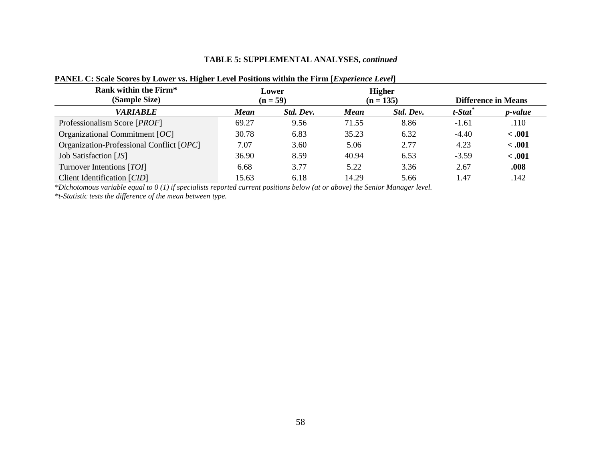## **TABLE 5: SUPPLEMENTAL ANALYSES,** *continued*

| Rank within the Firm*<br>(Sample Size)   | Lower<br>$(n = 59)$ |           | <b>Higher</b><br>$(n = 135)$ |           | <b>Difference in Means</b> |         |
|------------------------------------------|---------------------|-----------|------------------------------|-----------|----------------------------|---------|
| <b>VARIABLE</b>                          | <b>Mean</b>         | Std. Dev. | <b>Mean</b>                  | Std. Dev. | t-Stat <sup>*</sup>        | p-value |
| Professionalism Score [ <i>PROF</i> ]    | 69.27               | 9.56      | 71.55                        | 8.86      | $-1.61$                    | .110    |
| Organizational Commitment $[OC]$         | 30.78               | 6.83      | 35.23                        | 6.32      | $-4.40$                    | < .001  |
| Organization-Professional Conflict [OPC] | 7.07                | 3.60      | 5.06                         | 2.77      | 4.23                       | < .001  |
| Job Satisfaction [JS]                    | 36.90               | 8.59      | 40.94                        | 6.53      | $-3.59$                    | $-.001$ |
| Turnover Intentions [TOI]                | 6.68                | 3.77      | 5.22                         | 3.36      | 2.67                       | .008    |
| Client Identification [CID]              | 15.63               | 6.18      | 14.29                        | 5.66      | 1.47                       | .142    |

# **PANEL C: Scale Scores by Lower vs. Higher Level Positions within the Firm [***Experience Level***]**

*\*Dichotomous variable equal to 0 (1) if specialists reported current positions below (at or above) the Senior Manager level.* 

*\*t-Statistic tests the difference of the mean between type.*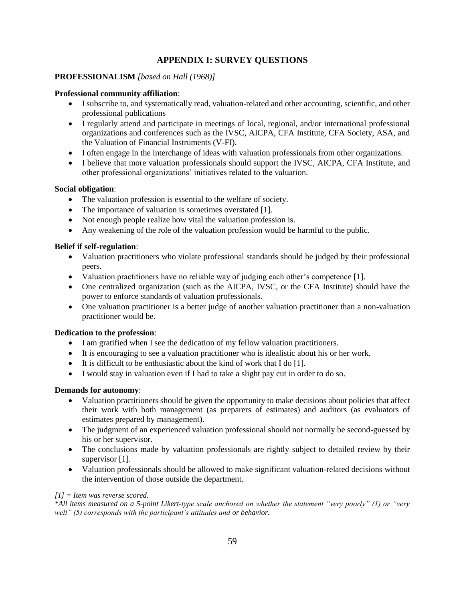# **APPENDIX I: SURVEY QUESTIONS**

## **PROFESSIONALISM** *[based on Hall (1968)]*

### **Professional community affiliation**:

- I subscribe to, and systematically read, valuation-related and other accounting, scientific, and other professional publications
- I regularly attend and participate in meetings of local, regional, and/or international professional organizations and conferences such as the IVSC, AICPA, CFA Institute, CFA Society, ASA, and the Valuation of Financial Instruments (V-FI).
- I often engage in the interchange of ideas with valuation professionals from other organizations.
- I believe that more valuation professionals should support the IVSC, AICPA, CFA Institute, and other professional organizations' initiatives related to the valuation.

### **Social obligation**:

- The valuation profession is essential to the welfare of society.
- The importance of valuation is sometimes overstated [1].
- Not enough people realize how vital the valuation profession is.
- Any weakening of the role of the valuation profession would be harmful to the public.

## **Belief if self-regulation**:

- Valuation practitioners who violate professional standards should be judged by their professional peers.
- Valuation practitioners have no reliable way of judging each other's competence [1].
- One centralized organization (such as the AICPA, IVSC, or the CFA Institute) should have the power to enforce standards of valuation professionals.
- One valuation practitioner is a better judge of another valuation practitioner than a non-valuation practitioner would be.

## **Dedication to the profession**:

- I am gratified when I see the dedication of my fellow valuation practitioners.
- It is encouraging to see a valuation practitioner who is idealistic about his or her work.
- $\bullet$  It is difficult to be enthusiastic about the kind of work that I do [1].
- I would stay in valuation even if I had to take a slight pay cut in order to do so.

## **Demands for autonomy**:

- Valuation practitioners should be given the opportunity to make decisions about policies that affect their work with both management (as preparers of estimates) and auditors (as evaluators of estimates prepared by management).
- The judgment of an experienced valuation professional should not normally be second-guessed by his or her supervisor.
- The conclusions made by valuation professionals are rightly subject to detailed review by their supervisor [1].
- Valuation professionals should be allowed to make significant valuation-related decisions without the intervention of those outside the department.

### *[1] = Item was reverse scored.*

*\*All items measured on a 5-point Likert-type scale anchored on whether the statement "very poorly" (1) or "very well" (5) corresponds with the participant's attitudes and or behavior.*